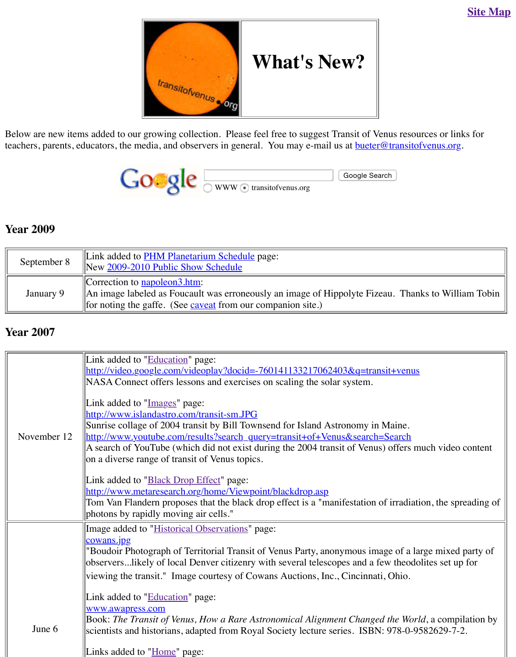

#### **Year 2009**

| September 8 | Link added to <b>PHM Planetarium Schedule</b> page:<br>New 2009-2010 Public Show Schedule                                                                                               |
|-------------|-----------------------------------------------------------------------------------------------------------------------------------------------------------------------------------------|
| January 9   | Correction to $napoleon3.htm$ :<br>An image labeled as Foucault was erroneously an image of Hippolyte Fize<br>   for noting the gaffe. (See $\frac{caveat}{}$ from our companion site.) |

#### **Year 2007**

|             | Link added to "Education" page:                                                                                                                                                                                                                                                                                                                                                                                                                                                                                                                                                                      |
|-------------|------------------------------------------------------------------------------------------------------------------------------------------------------------------------------------------------------------------------------------------------------------------------------------------------------------------------------------------------------------------------------------------------------------------------------------------------------------------------------------------------------------------------------------------------------------------------------------------------------|
|             | http://video.google.com/videoplay?docid=-760141133217062403&q=tran<br>NASA Connect offers lessons and exercises on scaling the solar system.                                                                                                                                                                                                                                                                                                                                                                                                                                                         |
| November 12 | Link added to "Images" page:<br>http://www.islandastro.com/transit-sm.JPG<br>Sunrise collage of 2004 transit by Bill Townsend for Island Astronomy in<br>http://www.youtube.com/results?search_query=transit+of+Venus&search=<br>A search of YouTube (which did not exist during the 2004 transit of Venus<br>on a diverse range of transit of Venus topics.<br>Link added to " <b>Black Drop Effect</b> " page:<br>http://www.metaresearch.org/home/Viewpoint/blackdrop.asp<br>Tom Van Flandern proposes that the black drop effect is a "manifestation of<br>photons by rapidly moving air cells." |
|             | Image added to "Historical Observations" page:<br>cowans.jpg                                                                                                                                                                                                                                                                                                                                                                                                                                                                                                                                         |
|             | "Boudoir Photograph of Territorial Transit of Venus Party, anonymous ima<br>observerslikely of local Denver citizenry with several telescopes and a f                                                                                                                                                                                                                                                                                                                                                                                                                                                |
|             | viewing the transit." Image courtesy of Cowans Auctions, Inc., Cincinnat                                                                                                                                                                                                                                                                                                                                                                                                                                                                                                                             |
|             | Link added to "Education" page:                                                                                                                                                                                                                                                                                                                                                                                                                                                                                                                                                                      |
|             | www.awapress.com<br>Book: The Transit of Venus, How a Rare Astronomical Alignment Changed                                                                                                                                                                                                                                                                                                                                                                                                                                                                                                            |
| June 6      | scientists and historians, adapted from Royal Society lecture series. ISBN                                                                                                                                                                                                                                                                                                                                                                                                                                                                                                                           |
|             | Links added to "Home" page:                                                                                                                                                                                                                                                                                                                                                                                                                                                                                                                                                                          |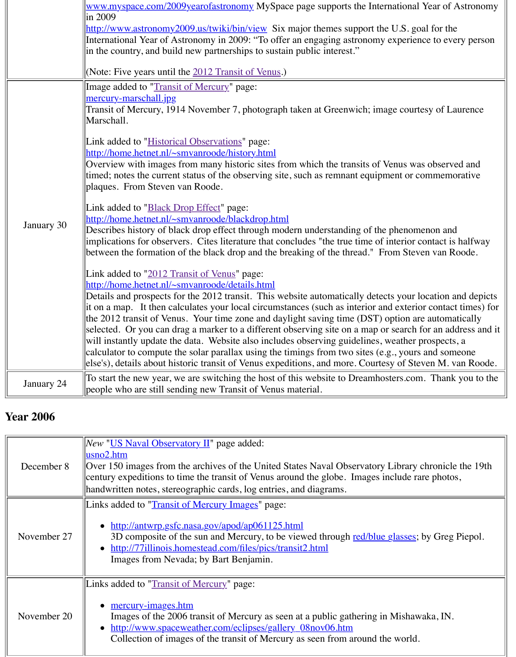| the 2012 transit of Venus. Your time zone and daylight saving time $(DST)$<br>selected. Or you can drag a marker to a different observing site on a map<br>will instantly update the data. Website also includes observing guidelines.<br>calculator to compute the solar parallax using the timings from two sites (<br>else's), details about historic transit of Venus expeditions, and more. Court<br>January 24<br>people who are still sending new Transit of Venus material. | January 30 | <u>Overview while images from many mistoric sites from which the transits of</u><br>timed; notes the current status of the observing site, such as remnant equip<br>plaques. From Steven van Roode.<br>Link added to " <b>Black Drop Effect</b> " page:<br>http://home.hetnet.nl/~smvanroode/blackdrop.html<br>Describes history of black drop effect through modern understanding of th<br>implications for observers. Cites literature that concludes "the true time of<br>between the formation of the black drop and the breaking of the thread."<br>Link added to "2012 Transit of Venus" page:<br>http://home.hetnet.nl/~smvanroode/details.html<br>Details and prospects for the 2012 transit. This website automatically dete<br>$\left\ $ it on a map. It then calculates your local circumstances (such as interior a |
|-------------------------------------------------------------------------------------------------------------------------------------------------------------------------------------------------------------------------------------------------------------------------------------------------------------------------------------------------------------------------------------------------------------------------------------------------------------------------------------|------------|---------------------------------------------------------------------------------------------------------------------------------------------------------------------------------------------------------------------------------------------------------------------------------------------------------------------------------------------------------------------------------------------------------------------------------------------------------------------------------------------------------------------------------------------------------------------------------------------------------------------------------------------------------------------------------------------------------------------------------------------------------------------------------------------------------------------------------|
| To start the new year, we are switching the host of this website to Dreamh                                                                                                                                                                                                                                                                                                                                                                                                          |            |                                                                                                                                                                                                                                                                                                                                                                                                                                                                                                                                                                                                                                                                                                                                                                                                                                 |
|                                                                                                                                                                                                                                                                                                                                                                                                                                                                                     |            |                                                                                                                                                                                                                                                                                                                                                                                                                                                                                                                                                                                                                                                                                                                                                                                                                                 |

### **Year 2006**

| New "US Naval Observatory II" page added:<br>usno2.htm<br>Over 150 images from the archives of the United States Naval Observator<br>December 8<br>century expeditions to time the transit of Venus around the globe. Images<br>handwritten notes, stereographic cards, log entries, and diagrams.<br>Links added to "Transit of Mercury Images" page: |  |                                                  |
|--------------------------------------------------------------------------------------------------------------------------------------------------------------------------------------------------------------------------------------------------------------------------------------------------------------------------------------------------------|--|--------------------------------------------------|
|                                                                                                                                                                                                                                                                                                                                                        |  |                                                  |
| 3D composite of the sun and Mercury, to be viewed through red/blu<br>November 27<br>• http://77illinois.homestead.com/files/pics/transit2.html<br>Images from Nevada; by Bart Benjamin.                                                                                                                                                                |  | • http://antwrp.gsfc.nasa.gov/apod/ap061125.html |
| Links added to "Transit of Mercury" page:<br><u>mercury-images.htm</u><br>$\bullet$<br>November 20<br>Images of the 2006 transit of Mercury as seen at a public gathering<br>• http://www.spaceweather.com/eclipses/gallery_08nov06.htm<br>Collection of images of the transit of Mercury as seen from around                                          |  |                                                  |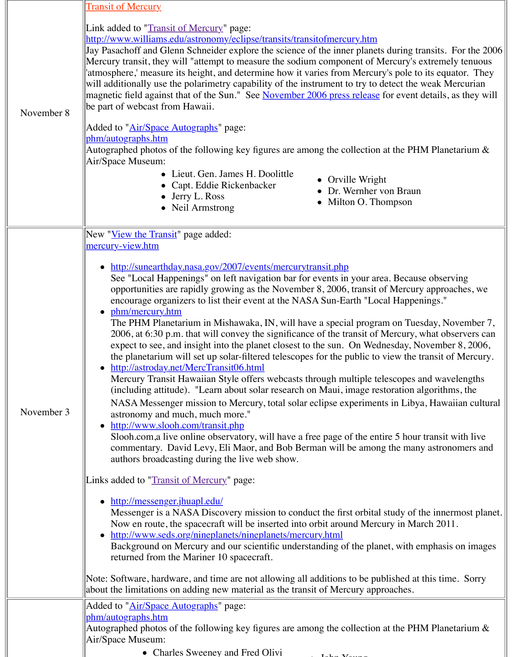|            | • Lieut. Gen. James H. Doolittle<br>• Orville Wrigh<br>• Capt. Eddie Rickenbacker<br>Dr. Wernher<br>$\bullet$ Jerry L. Ross<br>Milton O. Th<br>• Neil Armstrong                                                                                                                                                                                                                                                                                                                                                                                                                                                                                                                                                                                                                                                                                                                                                                                                                                                                                                                                                                                                                                                                                                                                                                                                                                                                                                                                                                                                                                                           |
|------------|---------------------------------------------------------------------------------------------------------------------------------------------------------------------------------------------------------------------------------------------------------------------------------------------------------------------------------------------------------------------------------------------------------------------------------------------------------------------------------------------------------------------------------------------------------------------------------------------------------------------------------------------------------------------------------------------------------------------------------------------------------------------------------------------------------------------------------------------------------------------------------------------------------------------------------------------------------------------------------------------------------------------------------------------------------------------------------------------------------------------------------------------------------------------------------------------------------------------------------------------------------------------------------------------------------------------------------------------------------------------------------------------------------------------------------------------------------------------------------------------------------------------------------------------------------------------------------------------------------------------------|
| November 3 | New " <u>View the Transit</u> " page added:<br>mercury-view.htm<br>http://sunearthday.nasa.gov/2007/events/mercurytransit.php<br>See "Local Happenings" on left navigation bar for events in your are<br>opportunities are rapidly growing as the November 8, 2006, transit<br>encourage organizers to list their event at the NASA Sun-Earth "Loc<br>• phm/mercury.htm<br>The PHM Planetarium in Mishawaka, IN, will have a special progra<br>2006, at 6:30 p.m. that will convey the significance of the transit of<br>expect to see, and insight into the planet closest to the sun. On Wed<br>the planetarium will set up solar-filtered telescopes for the public to<br>http://astroday.net/MercTransit06.html<br>Mercury Transit Hawaiian Style offers webcasts through multiple te<br>(including attitude). "Learn about solar research on Maui, image rearly<br>NASA Messenger mission to Mercury, total solar eclipse experiment<br>astronomy and much, much more."<br>http://www.slooh.com/transit.php<br>Slooh.com, a live online observatory, will have a free page of the ent<br>commentary. David Levy, Eli Maor, and Bob Berman will be amon<br>authors broadcasting during the live web show.<br>Links added to "Transit of Mercury" page:<br>http://messenger.jhuapl.edu/<br>Messenger is a NASA Discovery mission to conduct the first orbital<br>Now en route, the spacecraft will be inserted into orbit around Merc<br>• http://www.seds.org/nineplanets/nineplanets/mercury.html<br>Background on Mercury and our scientific understanding of the plane<br>returned from the Mariner 10 spacecraft. |
|            | Note: Software, hardware, and time are not allowing all additions to be pu<br>about the limitations on adding new material as the transit of Mercury app                                                                                                                                                                                                                                                                                                                                                                                                                                                                                                                                                                                                                                                                                                                                                                                                                                                                                                                                                                                                                                                                                                                                                                                                                                                                                                                                                                                                                                                                  |
|            | Added to " <u>Air/Space Autographs</u> " page:<br><u>phm/autographs.htm</u><br>Autographed photos of the following key figures are among the collection                                                                                                                                                                                                                                                                                                                                                                                                                                                                                                                                                                                                                                                                                                                                                                                                                                                                                                                                                                                                                                                                                                                                                                                                                                                                                                                                                                                                                                                                   |
|            | Air/Space Museum:<br>• Charles Sweeney and Fred Olivi                                                                                                                                                                                                                                                                                                                                                                                                                                                                                                                                                                                                                                                                                                                                                                                                                                                                                                                                                                                                                                                                                                                                                                                                                                                                                                                                                                                                                                                                                                                                                                     |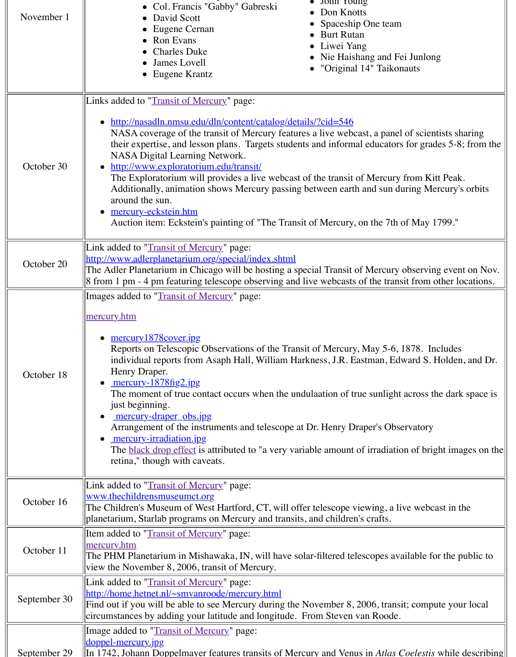| October 30   | <u>http://www.exploratorium.edu/transit/</u><br>The Exploratorium will provides a live webcast of the transit of Mer<br>Additionally, animation shows Mercury passing between earth and s<br>around the sun.<br>mercury-eckstein.htm<br>$\bullet$<br>Auction item: Eckstein's painting of "The Transit of Mercury, on the                                                                                                                                                                                                                                                                                                                        |
|--------------|--------------------------------------------------------------------------------------------------------------------------------------------------------------------------------------------------------------------------------------------------------------------------------------------------------------------------------------------------------------------------------------------------------------------------------------------------------------------------------------------------------------------------------------------------------------------------------------------------------------------------------------------------|
| October 20   | Link added to "Transit of Mercury" page:<br>http://www.adlerplanetarium.org/special/index.shtml<br>The Adler Planetarium in Chicago will be hosting a special Transit of Mer<br>8 from 1 pm - 4 pm featuring telescope observing and live webcasts of the                                                                                                                                                                                                                                                                                                                                                                                        |
| October 18   | Images added to "Transit of Mercury" page:<br><u>mercury.htm</u><br>$\bullet$ mercury 1878 cover.jpg<br>Reports on Telescopic Observations of the Transit of Mercury, May<br>individual reports from Asaph Hall, William Harkness, J.R. Eastman<br>Henry Draper.<br>• $mercury-1878fig2.jpg$<br>The moment of true contact occurs when the undulaation of true sur<br>just beginning.<br><u>mercury-draper obs.jpg</u><br>Arrangement of the instruments and telescope at Dr. Henry Draper's<br><u>mercury-irradiation.jpg</u><br>The <b>black</b> drop effect is attributed to "a very variable amount of irra<br>retina," though with caveats. |
| October 16   | Link added to "Transit of Mercury" page:<br>www.thechildrensmuseumct.org<br>The Children's Museum of West Hartford, CT, will offer telescope viewing<br>planetarium, Starlab programs on Mercury and transits, and children's craf                                                                                                                                                                                                                                                                                                                                                                                                               |
| October 11   | Item added to "Transit of Mercury" page:<br><u>mercury.htm</u><br>The PHM Planetarium in Mishawaka, IN, will have solar-filtered telescope<br>view the November 8, 2006, transit of Mercury.                                                                                                                                                                                                                                                                                                                                                                                                                                                     |
| September 30 | Link added to "Transit of Mercury" page:<br>http://home.hetnet.nl/~smvanroode/mercury.html<br>Find out if you will be able to see Mercury during the November 8, 2006,<br>circumstances by adding your latitude and longitude. From Steven van Re                                                                                                                                                                                                                                                                                                                                                                                                |
| September 29 | Image added to "Transit of Mercury" page:<br><u>doppel-mercury.jpg</u><br>$\left\vert$ In 1742, Johann Doppelmayer features transits of Mercury and Venus in A                                                                                                                                                                                                                                                                                                                                                                                                                                                                                   |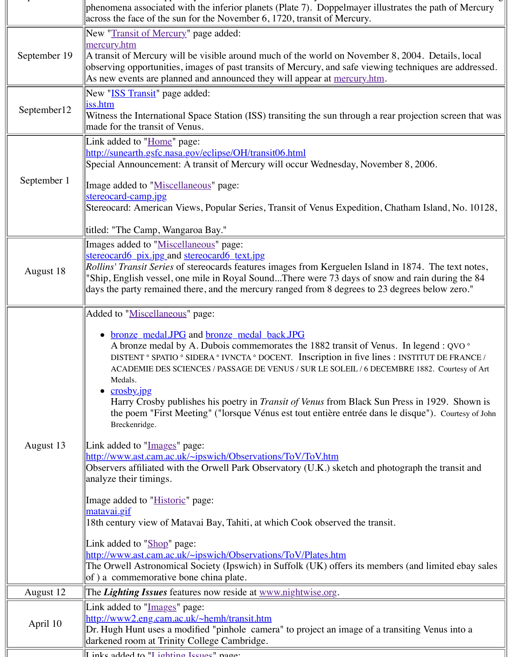|             | ppecial Announcement. A transit of iviciently will occur wednesday, ivove                                                                                                                                                                                                                                                                                                                                                                                                                                                                                                                                                                                                                                                          |
|-------------|------------------------------------------------------------------------------------------------------------------------------------------------------------------------------------------------------------------------------------------------------------------------------------------------------------------------------------------------------------------------------------------------------------------------------------------------------------------------------------------------------------------------------------------------------------------------------------------------------------------------------------------------------------------------------------------------------------------------------------|
| September 1 | Image added to "Miscellaneous" page:                                                                                                                                                                                                                                                                                                                                                                                                                                                                                                                                                                                                                                                                                               |
|             | stereocard-camp.jpg                                                                                                                                                                                                                                                                                                                                                                                                                                                                                                                                                                                                                                                                                                                |
|             | Stereocard: American Views, Popular Series, Transit of Venus Expedition                                                                                                                                                                                                                                                                                                                                                                                                                                                                                                                                                                                                                                                            |
|             | titled: "The Camp, Wangaroa Bay."                                                                                                                                                                                                                                                                                                                                                                                                                                                                                                                                                                                                                                                                                                  |
| August 18   | Images added to "Miscellaneous" page:<br>stereocard6 pix.jpg and stereocard6 text.jpg<br><i>Rollins' Transit Series</i> of stereocards features images from Kerguelen Islan<br>"Ship, English vessel, one mile in Royal SoundThere were 73 days of sn<br>days the party remained there, and the mercury ranged from 8 degrees to 2                                                                                                                                                                                                                                                                                                                                                                                                 |
|             | Added to "Miscellaneous" page:                                                                                                                                                                                                                                                                                                                                                                                                                                                                                                                                                                                                                                                                                                     |
| August 13   | <u>bronze medal.JPG</u> and <b>bronze</b> medal back.JPG<br>A bronze medal by A. Dubois commemorates the 1882 transit of Ve<br>DISTENT ° SPATIO ° SIDERA ° IVNCTA ° DOCENT. Inscription in five lin<br>ACADEMIE DES SCIENCES / PASSAGE DE VENUS / SUR LE SOLEIL / 6 DE<br>Medals.<br>$\bullet$ crosby.jpg<br>Harry Crosby publishes his poetry in <i>Transit of Venus</i> from Black St<br>the poem "First Meeting" ("lorsque Vénus est tout entière entrée dans<br>Breckenridge.<br>Link added to "Images" page:<br>http://www.ast.cam.ac.uk/~ipswich/Observations/ToV/ToV.htm<br>Observers affiliated with the Orwell Park Observatory (U.K.) sketch and p<br>analyze their timings.<br>Image added to " <i>Historic</i> " page: |
|             | <u>matavai.gif</u><br>18th century view of Matavai Bay, Tahiti, at which Cook observed the tran                                                                                                                                                                                                                                                                                                                                                                                                                                                                                                                                                                                                                                    |
|             | Link added to "Shop" page:<br>http://www.ast.cam.ac.uk/~ipswich/Observations/ToV/Plates.htm<br>The Orwell Astronomical Society (Ipswich) in Suffolk (UK) offers its mer<br>of) a commemorative bone china plate.                                                                                                                                                                                                                                                                                                                                                                                                                                                                                                                   |
| August 12   | The <i>Lighting Issues</i> features now reside at <u>www.nightwise.org</u> .                                                                                                                                                                                                                                                                                                                                                                                                                                                                                                                                                                                                                                                       |
| April 10    | Link added to "Images" page:<br>http://www2.eng.cam.ac.uk/~hemh/transit.htm<br>Dr. Hugh Hunt uses a modified "pinhole camera" to project an image of a<br>darkened room at Trinity College Cambridge.                                                                                                                                                                                                                                                                                                                                                                                                                                                                                                                              |
|             | I inke added to "I ighting Issues" page:                                                                                                                                                                                                                                                                                                                                                                                                                                                                                                                                                                                                                                                                                           |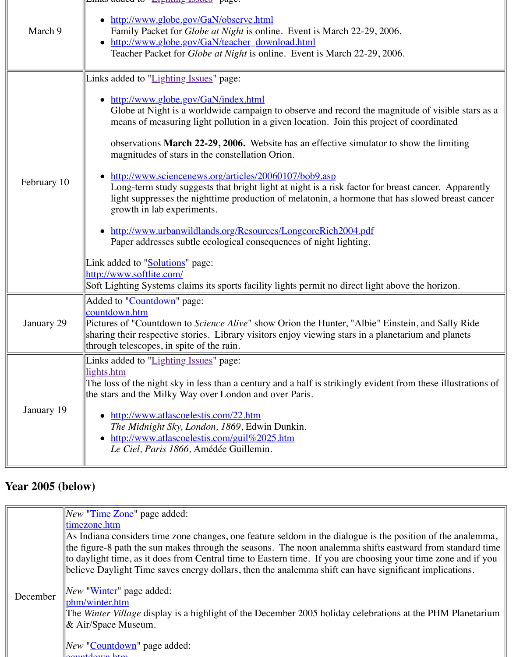| • http://www.urbanwildlands.org/Resources/LongcoreRich2004.pdf<br>Paper addresses subtle ecological consequences of night lighting.<br>Link added to " <b>Solutions</b> " page:<br>http://www.softlite.com/<br>Added to "Countdown" page:<br>countdown.htm<br>January 29<br>through telescopes, in spite of the rain.<br>Links added to "Lighting Issues" page:<br>lights.htm<br>the stars and the Milky Way over London and over Paris.<br>January 19<br>http://www.atlascoelestis.com/22.htm<br>The Midnight Sky, London, 1869, Edwin Dunkin.<br>http://www.atlascoelestis.com/guil%2025.htm<br>Le Ciel, Paris 1866, Amédée Guillemin. | February 10 | • http://www.sciencenews.org/articles/20060107/bob9.asp<br>Long-term study suggests that bright light at night is a risk factor for<br>light suppresses the nighttime production of melatonin, a hormone t<br>growth in lab experiments. |
|------------------------------------------------------------------------------------------------------------------------------------------------------------------------------------------------------------------------------------------------------------------------------------------------------------------------------------------------------------------------------------------------------------------------------------------------------------------------------------------------------------------------------------------------------------------------------------------------------------------------------------------|-------------|------------------------------------------------------------------------------------------------------------------------------------------------------------------------------------------------------------------------------------------|
|                                                                                                                                                                                                                                                                                                                                                                                                                                                                                                                                                                                                                                          |             |                                                                                                                                                                                                                                          |
|                                                                                                                                                                                                                                                                                                                                                                                                                                                                                                                                                                                                                                          |             | Soft Lighting Systems claims its sports facility lights permit no direct ligh                                                                                                                                                            |
|                                                                                                                                                                                                                                                                                                                                                                                                                                                                                                                                                                                                                                          |             | Pictures of "Countdown to Science Alive" show Orion the Hunter, "Albie"<br>sharing their respective stories. Library visitors enjoy viewing stars in a p                                                                                 |
|                                                                                                                                                                                                                                                                                                                                                                                                                                                                                                                                                                                                                                          |             | The loss of the night sky in less than a century and a half is strikingly evid                                                                                                                                                           |

# **Year 2005 (belo[w\)](http://old.transitofvenus.org/countdown.htm)**

|  |          | New " <u>Time Zone</u> " page added:                                                        |
|--|----------|---------------------------------------------------------------------------------------------|
|  |          | <u>ltimezone.htm</u>                                                                        |
|  |          | $\parallel$ As Indiana considers time zone changes, one feature seldom in the dialogue is a |
|  |          | the figure-8 path the sun makes through the seasons. The noon analemma shift                |
|  |          | to daylight time, as it does from Central time to Eastern time. If you are choosi           |
|  |          | believe Daylight Time saves energy dollars, then the analemma shift can have s              |
|  |          |                                                                                             |
|  | December | New " <u>Winter</u> " page added:                                                           |
|  |          | phm/winter.htm                                                                              |
|  |          | The <i>Winter Village</i> display is a highlight of the December 2005 holiday celebra       |
|  |          | $\&$ Air/Space Museum.                                                                      |
|  |          |                                                                                             |
|  |          | New "Countdown" page added:<br>countdown htm                                                |
|  |          |                                                                                             |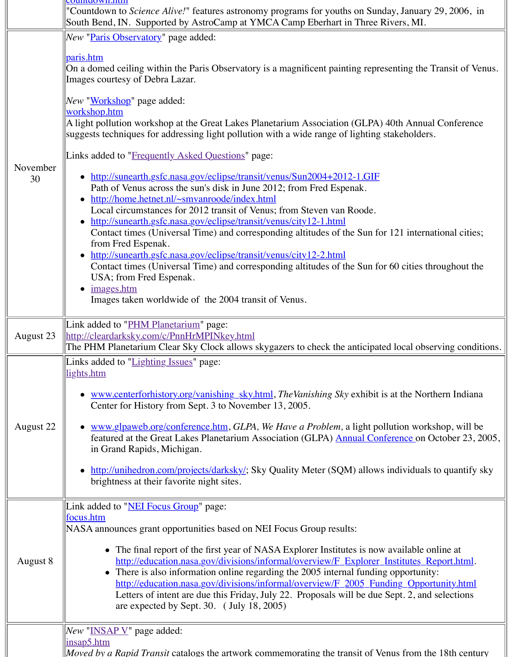| November<br>30 | http://sunearth.gsfc.nasa.gov/eclipse/transit/venus/Sun2004+2012-1.GIF<br>Path of Venus across the sun's disk in June 2012; from Fred Espenak.<br>http://home.hetnet.nl/~smvanroode/index.html<br>Local circumstances for 2012 transit of Venus; from Steven van Roode.<br>http://sunearth.gsfc.nasa.gov/eclipse/transit/venus/city12-1.html<br>Contact times (Universal Time) and corresponding altitudes of the Sun form<br>from Fred Espenak.<br>http://sunearth.gsfc.nasa.gov/eclipse/transit/venus/city12-2.html<br>Contact times (Universal Time) and corresponding altitudes of the Sun form<br>USA; from Fred Espenak.<br>images.htm<br>Images taken worldwide of the 2004 transit of Venus. |
|----------------|------------------------------------------------------------------------------------------------------------------------------------------------------------------------------------------------------------------------------------------------------------------------------------------------------------------------------------------------------------------------------------------------------------------------------------------------------------------------------------------------------------------------------------------------------------------------------------------------------------------------------------------------------------------------------------------------------|
| August 23      | Link added to "PHM Planetarium" page:<br>http://cleardarksky.com/c/PnnHrMPINkey.html<br>The PHM Planetarium Clear Sky Clock allows skygazers to check the anticipat                                                                                                                                                                                                                                                                                                                                                                                                                                                                                                                                  |
| August 22      | Links added to "Lighting Issues" page:<br>lights.htm<br>www.centerforhistory.org/vanishing_sky.html, TheVanishing Sky exhibit<br>Center for History from Sept. 3 to November 13, 2005.<br>www.glpaweb.org/conference.htm, GLPA, We Have a Problem, a light po<br>featured at the Great Lakes Planetarium Association (GLPA) Annual Cor<br>in Grand Rapids, Michigan.<br>http://unihedron.com/projects/darksky/; Sky Quality Meter (SQM) allow<br>brightness at their favorite night sites.                                                                                                                                                                                                           |
| August 8       | Link added to "NEI Focus Group" page:<br>focus.htm<br>NASA announces grant opportunities based on NEI Focus Group results:<br>• The final report of the first year of NASA Explorer Institutes is not<br>http://education.nasa.gov/divisions/informal/overview/F Explorer<br>• There is also information online regarding the 2005 internal funding<br>http://education.nasa.gov/divisions/informal/overview/F_2005_Fu<br>Letters of intent are due this Friday, July 22. Proposals will be due<br>are expected by Sept. 30. $($ July 18, 2005 $)$                                                                                                                                                   |
|                | <i>New</i> "INSAP V" page added:<br>insap5.htm<br><i>Moved by a Rapid Transit</i> catalogs the artwork commemorating the transit of V                                                                                                                                                                                                                                                                                                                                                                                                                                                                                                                                                                |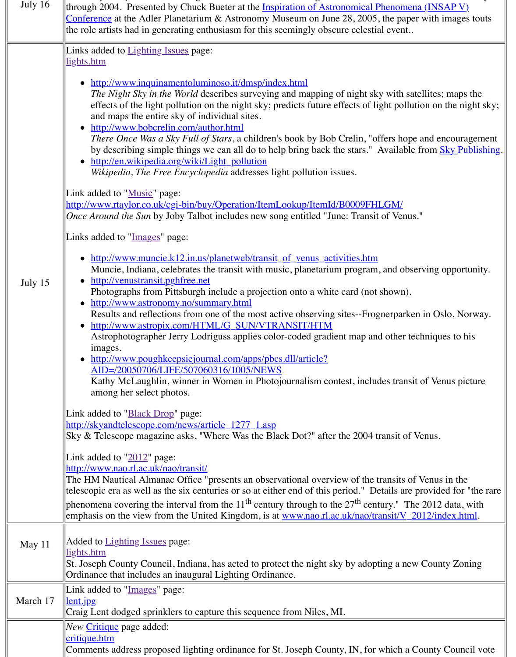|          | Wikipedia, The Free Encyclopedia addresses light pollution issues.                                                                                                                                                                                                                                                                                                                                                                                                                                                                                                                                                                                                                                                    |
|----------|-----------------------------------------------------------------------------------------------------------------------------------------------------------------------------------------------------------------------------------------------------------------------------------------------------------------------------------------------------------------------------------------------------------------------------------------------------------------------------------------------------------------------------------------------------------------------------------------------------------------------------------------------------------------------------------------------------------------------|
|          | Link added to "Music" page:<br>http://www.rtaylor.co.uk/cgi-bin/buy/Operation/ItemLookup/ItemId/B0009FHI<br>Once Around the Sun by Joby Talbot includes new song entitled "June: Transit                                                                                                                                                                                                                                                                                                                                                                                                                                                                                                                              |
|          | Links added to "Images" page:                                                                                                                                                                                                                                                                                                                                                                                                                                                                                                                                                                                                                                                                                         |
| July 15  | • http://www.muncie.k12.in.us/planetweb/transit of venus activities.htm<br>Muncie, Indiana, celebrates the transit with music, planetarium program,<br>http://venustransit.pghfree.net<br>Photographs from Pittsburgh include a projection onto a white card (not s<br>• http://www.astronomy.no/summary.html<br>Results and reflections from one of the most active observing sites--Frog<br>• http://www.astropix.com/HTML/G_SUN/VTRANSIT/HTM<br>Astrophotographer Jerry Lodriguss applies color-coded gradient map and<br>images.<br>• http://www.poughkeepsiejournal.com/apps/pbcs.dll/article?<br>AID=/20050706/LIFE/507060316/1005/NEWS<br>Kathy McLaughlin, winner in Women in Photojournalism contest, includ |
|          | among her select photos.                                                                                                                                                                                                                                                                                                                                                                                                                                                                                                                                                                                                                                                                                              |
|          | Link added to " <b>Black Drop</b> " page:<br>http://skyandtelescope.com/news/article_1277_1.asp<br>Sky & Telescope magazine asks, "Where Was the Black Dot?" after the 2004 tr                                                                                                                                                                                                                                                                                                                                                                                                                                                                                                                                        |
|          | Link added to $"2012"$ page:                                                                                                                                                                                                                                                                                                                                                                                                                                                                                                                                                                                                                                                                                          |
|          | http://www.nao.rl.ac.uk/nao/transit/                                                                                                                                                                                                                                                                                                                                                                                                                                                                                                                                                                                                                                                                                  |
|          | The HM Nautical Almanac Office "presents an observational overview of the tr<br>telescopic era as well as the six centuries or so at either end of this period." De                                                                                                                                                                                                                                                                                                                                                                                                                                                                                                                                                   |
|          | phenomena covering the interval from the $11^{th}$ century through to the $27^{th}$ cent<br>emphasis on the view from the United Kingdom, is at www.nao.rl.ac.uk/nao/tra                                                                                                                                                                                                                                                                                                                                                                                                                                                                                                                                              |
| May 11   | Added to <b>Lighting Issues</b> page:<br>lights.htm<br>St. Joseph County Council, Indiana, has acted to protect the night sky by adopt                                                                                                                                                                                                                                                                                                                                                                                                                                                                                                                                                                                |
|          | Ordinance that includes an inaugural Lighting Ordinance.                                                                                                                                                                                                                                                                                                                                                                                                                                                                                                                                                                                                                                                              |
| March 17 | Link added to "Images" page:<br><u>lent.jpg</u><br>Craig Lent dodged sprinklers to capture this sequence from Niles, MI.                                                                                                                                                                                                                                                                                                                                                                                                                                                                                                                                                                                              |
|          | <i>New</i> Critique page added:                                                                                                                                                                                                                                                                                                                                                                                                                                                                                                                                                                                                                                                                                       |
|          | critique.htm                                                                                                                                                                                                                                                                                                                                                                                                                                                                                                                                                                                                                                                                                                          |
|          | Comments address proposed lighting ordinance for St. Joseph County, IN, for y                                                                                                                                                                                                                                                                                                                                                                                                                                                                                                                                                                                                                                         |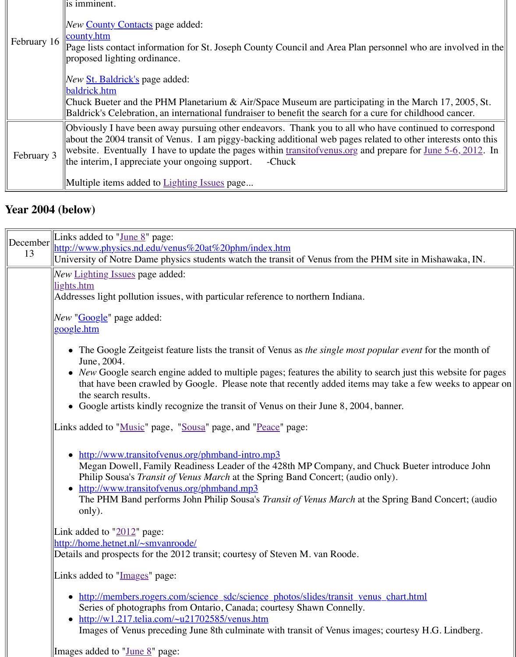| -------<br>$\mu$ and $\mu$ and $\mu$ and $\mu$ and $\mu$ and $\mu$ and $\mu$ and $\mu$ and $\mu$ and $\mu$ |
|------------------------------------------------------------------------------------------------------------|
| Multiple items added to Lighting Issues page                                                               |

## **Year 2004 ([below\)](http://old.transitofvenus.org/county.htm)**

| December | Links added to " $June 8$ " page:                                                                                                                                                                                                                                                                                                                 |
|----------|---------------------------------------------------------------------------------------------------------------------------------------------------------------------------------------------------------------------------------------------------------------------------------------------------------------------------------------------------|
| 13       | http://www.physics.nd.edu/venus%20at%20phm/index.htm                                                                                                                                                                                                                                                                                              |
|          | University of Notre Dame physics students watch the transit of Venus from the PH                                                                                                                                                                                                                                                                  |
|          | New Lighting Issues page added:                                                                                                                                                                                                                                                                                                                   |
|          | lights.htm                                                                                                                                                                                                                                                                                                                                        |
|          | Addresses light pollution issues, with particular reference to northern Indiana.                                                                                                                                                                                                                                                                  |
|          | <i>New</i> " <b>Google</b> " page added:<br><u>google.htm</u>                                                                                                                                                                                                                                                                                     |
|          | The Google Zeitgeist feature lists the transit of Venus as the single most pop<br>June, 2004.<br>• New Google search engine added to multiple pages; features the ability to se                                                                                                                                                                   |
|          | that have been crawled by Google. Please note that recently added items man<br>the search results.                                                                                                                                                                                                                                                |
|          | • Google artists kindly recognize the transit of Venus on their June 8, 2004, band                                                                                                                                                                                                                                                                |
|          | Links added to " <i>Music</i> " page, " <i>Sousa</i> " page, and " <i>Peace</i> " page:                                                                                                                                                                                                                                                           |
|          | http://www.transitofvenus.org/phmband-intro.mp3<br>Megan Dowell, Family Readiness Leader of the 428th MP Company, and C<br>Philip Sousa's <i>Transit of Venus March</i> at the Spring Band Concert; (audio or<br>• http://www.transitofvenus.org/phmband.mp3<br>The PHM Band performs John Philip Sousa's Transit of Venus March at the<br>only). |
|          | Link added to " $2012$ " page:<br>http://home.hetnet.nl/~smvanroode/<br>Details and prospects for the 2012 transit; courtesy of Steven M. van Roode.                                                                                                                                                                                              |
|          | Links added to "Images" page:                                                                                                                                                                                                                                                                                                                     |
|          | • http://members.rogers.com/science_sdc/science_photos/slides/transit_venus<br>Series of photographs from Ontario, Canada; courtesy Shawn Connelly.<br>$\bullet$ http://w1.217.telia.com/~u21702585/venus.htm<br>Images of Venus preceding June 8th culminate with transit of Venus images                                                        |
|          | Images added to " <u>June 8</u> " page:                                                                                                                                                                                                                                                                                                           |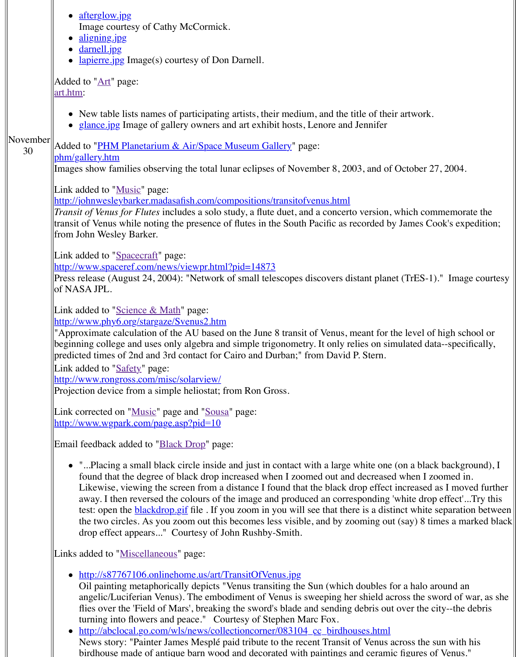Images show families observing the total lunar eclipses of November 8, 2003, and

Link added to "Music" page:

http://[johnwesleyb](http://old.transitofvenus.org/images/aligning.jpg)arker.madasafish.com/compositions/transitofvenus.html *Trans[it of Venus f](http://old.transitofvenus.org/images/darnell.jpg)or Flutes* includes a solo study, a flute duet, and a concerto version, transit [of Venus w](http://old.transitofvenus.org/images/lapierre.jpg)hile noting the presence of flutes in the South Pacific as recorded from John Wesley Barker.

[Link added to "Space](http://old.transitofvenus.org/art.htm)craft" page:

http://www.spaceref.com/news/viewpr.html?pid=14873

Press release (August 24, 2004): "Network of small telescopes discovers distant pl of N[ASA JPL.](http://old.transitofvenus.org/glance.jpg)

Link adde[d to "Science & Math" page:](http://old.transitofvenus.org/phm/gallery.htm) [http://www.phy6](http://old.transitofvenus.org/phm/gallery.htm).org/stargaze/Svenus2.htm

"Approximate calculation of the AU based on the June 8 transit of Venus, meant for  $\epsilon$ beginning college and uses only algebra and simple trigonometry. It only relies on predicted times [of 2nd](http://old.transitofvenus.org/music.htm) and 3rd contact for Cairo and Durban;" from David P. Stern.

[Link added to "Safety" page:](http://johnwesleybarker.madasafish.com/compositions/transitofvenus.html)

http://www.rongross.com/misc/solarview/

Projection device from a simple heliostat; from Ron Gross.

Link corrected on "Music" page and "Sousa" page: [http://www.wgpark.com/page.asp?pid=10](http://www.spaceref.com/news/viewpr.html?pid=14873)

Email feedback added to "**Black Drop"** page:

• "...Placing a small black circle inside and just in contact with a large white one [found that the degree of black drop in](http://www.phy6.org/stargaze/Svenus2.htm)creased when I zoomed out and decreased Likewise, viewing the screen from a distance I found that the black drop eff away. I then reversed the colours of the image and produced an corresponding away. test: open the **blackdrop.gif** file. If you zoom in you will see that there is a distrinct white separation between  $\frac{1}{\sqrt{2}}$ the two circles. As you zoom out this becomes less visible, and by zooming [drop effec](http://www.rongross.com/misc/solarview/)[t app](http://old.transitofvenus.org/safety.htm)[ears..." Courtesy of J](http://www.rongross.com/misc/solarview/)ohn Rushby-Smith.

Links added to "Miscellaneous" page:

- [http://s87767](http://www.wgpark.com/page.asp?pid=10)[106.o](http://old.transitofvenus.org/music.htm)[nlinehome.us](http://www.wgpark.com/page.asp?pid=10)[/art/](http://old.transitofvenus.org/sousa.htm)[TransitO](http://www.wgpark.com/page.asp?pid=10)fVenus.jpg
	- Oil painting metaphorically depicts "Venus transiting the Sun (which double angelic/Luciferian Venus). The embodiment of Venus is sweeping her shield flies over the 'Field [of Mars', bre](http://old.transitofvenus.org/blackdrop.htm)aking the sword's blade and sending debris turning into flowers and peace." Courtesy of Stephen Marc Fox.
- http://abclocal.go.com/wls/news/collectioncorner/083104\_cc\_birdhouses.ht News story: "Painter James Mesplé paid tribute to the recent Transit of Venus birdhouse made of antique barn wood and decorated with paintings and cera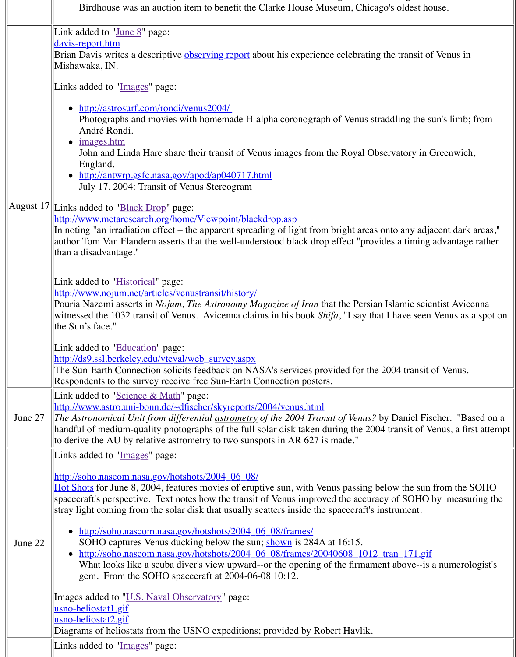|         | Lingianu.                                                                                        |
|---------|--------------------------------------------------------------------------------------------------|
|         | http://antwrp.gsfc.nasa.gov/apod/ap040717.html                                                   |
|         | July 17, 2004: Transit of Venus Stereogram                                                       |
|         |                                                                                                  |
|         | August 17 Links added to " <b>Black Drop"</b> page:                                              |
|         | http://www.metaresearch.org/home/Viewpoint/blackdrop.asp                                         |
|         | In noting "an irradiation effect – the apparent spreading of light from bright areas             |
|         | author Tom Van Flandern asserts that the well-understood black drop effect "provi                |
|         | than a disadvantage."                                                                            |
|         |                                                                                                  |
|         |                                                                                                  |
|         | Link added to " <b>Historical</b> " page:                                                        |
|         | http://www.nojum.net/articles/venustransit/history/                                              |
|         | Pouria Nazemi asserts in <i>Nojum, The Astronomy Magazine of Iran</i> that the Persian           |
|         | witnessed the 1032 transit of Venus. Avicenna claims in his book Shifa, "I say tha               |
|         | the Sun's face."                                                                                 |
|         |                                                                                                  |
|         | Link added to "Education" page:                                                                  |
|         | http://ds9.ssl.berkeley.edu/vteval/web_survey.aspx                                               |
|         | The Sun-Earth Connection solicits feedback on NASA's services provided for the                   |
|         |                                                                                                  |
|         | Respondents to the survey receive free Sun-Earth Connection posters.                             |
|         | Link added to "Science & Math" page:                                                             |
|         | http://www.astro.uni-bonn.de/~dfischer/skyreports/2004/venus.html                                |
| June 27 | The Astronomical Unit from differential <u>astrometry</u> of the 2004 Transit of Venus? <i>\</i> |
|         | handful of medium-quality photographs of the full solar disk taken during the 200                |
|         | to derive the AU by relative astrometry to two sunspots in AR 627 is made."                      |
|         |                                                                                                  |
|         | Links added to "Images" page:                                                                    |
|         | http://soho.nascom.nasa.gov/hotshots/2004_06_08/                                                 |
|         |                                                                                                  |
|         | Hot Shots for June 8, 2004, features movies of eruptive sun, with Venus passing b                |
|         | spacecraft's perspective. Text notes how the transit of Venus improved the accurac-              |
|         | stray light coming from the solar disk that usually scatters inside the spacecraft's in          |
|         |                                                                                                  |
|         | http://soho.nascom.nasa.gov/hotshots/2004_06_08/frames/                                          |
| June 22 | SOHO captures Venus ducking below the sun; shown is 284A at 16:15.                               |
|         | http://soho.nascom.nasa.gov/hotshots/2004_06_08/frames/20040608_1012_                            |
|         | What looks like a scuba diver's view upward--or the opening of the firmame                       |
|         | gem. From the SOHO spacecraft at 2004-06-08 10:12.                                               |
|         |                                                                                                  |
|         | Images added to "U.S. Naval Observatory" page:                                                   |
|         | usno-heliostat1.gif                                                                              |
|         | <u> usno-heliostat2.gif</u>                                                                      |
|         | Diagrams of heliostats from the USNO expeditions; provided by Robert Havlik.                     |
|         | Links added to "Images" page:                                                                    |
|         |                                                                                                  |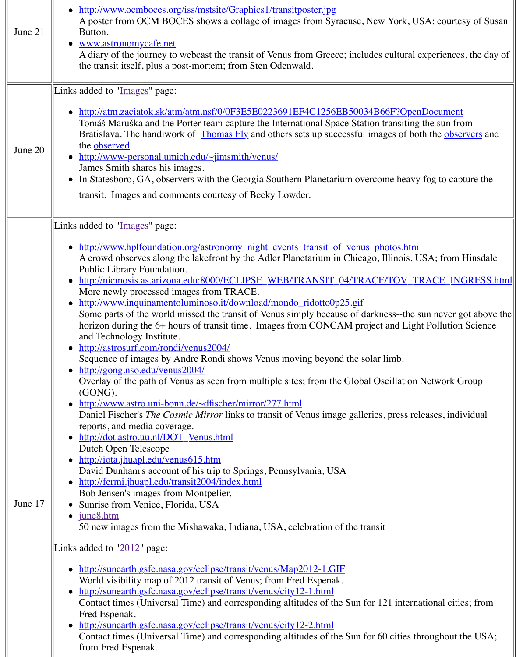|         | James Smith shares his images.<br>• In Statesboro, GA, observers with the Georgia Southern Planetarium overco                                                                                                                                                                                                                                                                                                                                                                                                                                                                                                                                                                                                                                                                                                                                                                                                                                                                                                                                                                                                                                                                                                                                                                                                                                                                                               |
|---------|-------------------------------------------------------------------------------------------------------------------------------------------------------------------------------------------------------------------------------------------------------------------------------------------------------------------------------------------------------------------------------------------------------------------------------------------------------------------------------------------------------------------------------------------------------------------------------------------------------------------------------------------------------------------------------------------------------------------------------------------------------------------------------------------------------------------------------------------------------------------------------------------------------------------------------------------------------------------------------------------------------------------------------------------------------------------------------------------------------------------------------------------------------------------------------------------------------------------------------------------------------------------------------------------------------------------------------------------------------------------------------------------------------------|
|         | transit. Images and comments courtesy of Becky Lowder.                                                                                                                                                                                                                                                                                                                                                                                                                                                                                                                                                                                                                                                                                                                                                                                                                                                                                                                                                                                                                                                                                                                                                                                                                                                                                                                                                      |
|         | Links added to "Images" page:                                                                                                                                                                                                                                                                                                                                                                                                                                                                                                                                                                                                                                                                                                                                                                                                                                                                                                                                                                                                                                                                                                                                                                                                                                                                                                                                                                               |
| June 17 | <u>http://www.hplfoundation.org/astronomy_night_events_transit_of_venus_pl</u><br>A crowd observes along the lakefront by the Adler Planetarium in Chicago,<br>Public Library Foundation.<br>http://nicmosis.as.arizona.edu:8000/ECLIPSE_WEB/TRANSIT_04/TRACI<br>More newly processed images from TRACE.<br>http://www.inquinamentoluminoso.it/download/mondo_ridotto0p25.gif<br>Some parts of the world missed the transit of Venus simply because of dark<br>horizon during the 6+ hours of transit time. Images from CONCAM project<br>and Technology Institute.<br>http://astrosurf.com/rondi/venus2004/<br>Sequence of images by Andre Rondi shows Venus moving beyond the solar<br>http://gong.nso.edu/venus2004/<br>Overlay of the path of Venus as seen from multiple sites; from the Global O<br>(GONG).<br>• http://www.astro.uni-bonn.de/~dfischer/mirror/277.html<br>Daniel Fischer's <i>The Cosmic Mirror</i> links to transit of Venus image galleries<br>reports, and media coverage.<br>• http://dot.astro.uu.nl/DOT_Venus.html<br>Dutch Open Telescope<br>http://iota.jhuapl.edu/venus615.htm<br>David Dunham's account of his trip to Springs, Pennsylvania, USA<br>http://fermi.jhuapl.edu/transit2004/index.html<br>Bob Jensen's images from Montpelier.<br>Sunrise from Venice, Florida, USA<br>june8.htm<br>50 new images from the Mishawaka, Indiana, USA, celebration of the transi |
|         | Links added to $"2012"$ page:                                                                                                                                                                                                                                                                                                                                                                                                                                                                                                                                                                                                                                                                                                                                                                                                                                                                                                                                                                                                                                                                                                                                                                                                                                                                                                                                                                               |
|         | http://sunearth.gsfc.nasa.gov/eclipse/transit/venus/Map2012-1.GIF<br>World visibility map of 2012 transit of Venus; from Fred Espenak.<br>http://sunearth.gsfc.nasa.gov/eclipse/transit/venus/city12-1.html<br>Contact times (Universal Time) and corresponding altitudes of the Sun for 1<br>Fred Espenak.<br>• http://sunearth.gsfc.nasa.gov/eclipse/transit/venus/city12-2.html<br>Contact times (Universal Time) and corresponding altitudes of the Sun for 6<br>from Fred Espenak.                                                                                                                                                                                                                                                                                                                                                                                                                                                                                                                                                                                                                                                                                                                                                                                                                                                                                                                     |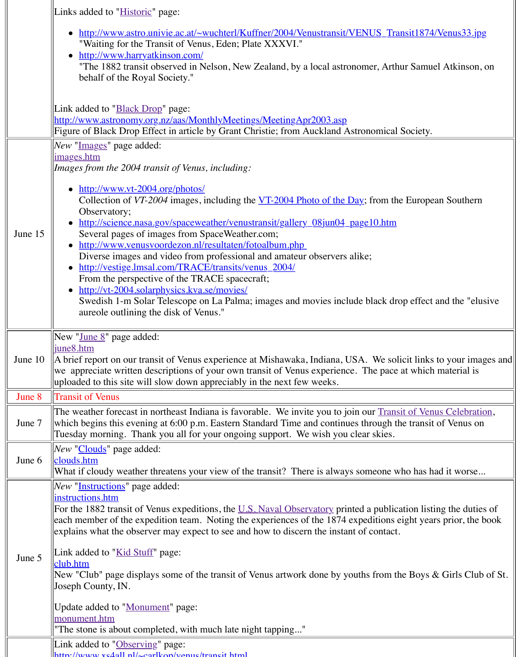|         | Images from the $2004$ transit of Venus, including:                                                                                                                                                                                                                                                                                                                                                                                                                                                                                                                                                                                                                                  |
|---------|--------------------------------------------------------------------------------------------------------------------------------------------------------------------------------------------------------------------------------------------------------------------------------------------------------------------------------------------------------------------------------------------------------------------------------------------------------------------------------------------------------------------------------------------------------------------------------------------------------------------------------------------------------------------------------------|
| June 15 | • http://www.vt-2004.org/photos/<br>Collection of $VT-2004$ images, including the $VT-2004$ Photo of the Day; fro<br>Observatory;<br>http://science.nasa.gov/spaceweather/venustransit/gallery 08jun04 page10.<br>Several pages of images from SpaceWeather.com;<br>• http://www.venusvoordezon.nl/resultaten/fotoalbum.php<br>Diverse images and video from professional and amateur observers alike;<br>• http://vestige.lmsal.com/TRACE/transits/venus_2004/<br>From the perspective of the TRACE spacecraft;<br>• http://vt-2004.solarphysics.kva.se/movies/<br>Swedish 1-m Solar Telescope on La Palma; images and movies include blac<br>aureole outlining the disk of Venus." |
| June 10 | New " <u>June 8</u> " page added:<br><u>june8.htm</u><br>A brief report on our transit of Venus experience at Mishawaka, Indiana, USA. W<br>we appreciate written descriptions of your own transit of Venus experience. The<br>uploaded to this site will slow down appreciably in the next few weeks.                                                                                                                                                                                                                                                                                                                                                                               |
| June 8  | <b>Transit of Venus</b>                                                                                                                                                                                                                                                                                                                                                                                                                                                                                                                                                                                                                                                              |
| June 7  | The weather forecast in northeast Indiana is favorable. We invite you to join our 1<br>which begins this evening at 6:00 p.m. Eastern Standard Time and continues throu<br>Tuesday morning. Thank you all for your ongoing support. We wish you clear sk                                                                                                                                                                                                                                                                                                                                                                                                                             |
| June 6  | New "Clouds" page added:<br>clouds.htm<br>What if cloudy weather threatens your view of the transit? There is always somed                                                                                                                                                                                                                                                                                                                                                                                                                                                                                                                                                           |
| June 5  | <i>New</i> " <i>Instructions</i> " page added:<br>instructions.htm<br>For the 1882 transit of Venus expeditions, the U.S. Naval Observatory printed a pu<br>each member of the expedition team. Noting the experiences of the 1874 expediti<br>explains what the observer may expect to see and how to discern the instant of cor<br>Link added to "Kid Stuff" page:<br>club.htm<br>New "Club" page displays some of the transit of Venus artwork done by youths from<br>Joseph County, IN.<br>Update added to "Monument" page:<br>monument.htm<br>"The stone is about completed, with much late night tapping"                                                                      |
|         | Link added to "Observing" page:                                                                                                                                                                                                                                                                                                                                                                                                                                                                                                                                                                                                                                                      |

[http://www.xs4all.](http://old.transitofvenus.org/instructions.htm)nl/~carlkop/venus/transit.html

Ш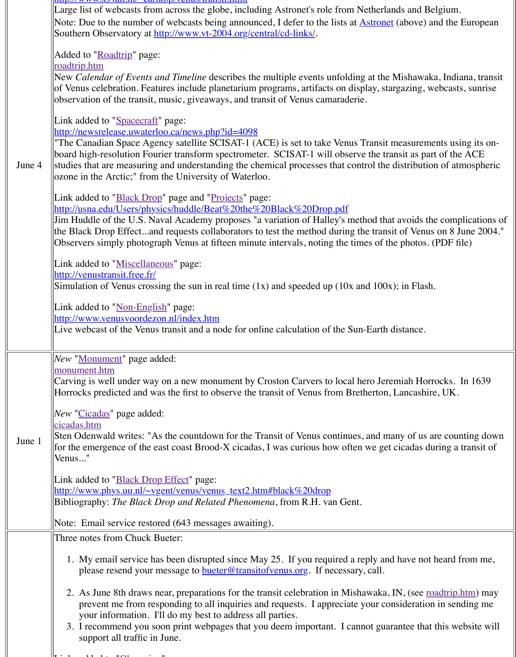| June 4 | studies that are measuring and understanding the chemical processes that control t<br>ozone in the Arctic;" from the University of Waterloo.                                                                                                                                                                                                                                                                                                                                                                                                                                                                                                                                                                                 |
|--------|------------------------------------------------------------------------------------------------------------------------------------------------------------------------------------------------------------------------------------------------------------------------------------------------------------------------------------------------------------------------------------------------------------------------------------------------------------------------------------------------------------------------------------------------------------------------------------------------------------------------------------------------------------------------------------------------------------------------------|
|        | Link added to " <b>Black Drop</b> " page and "Projects" page:<br>http://usna.edu/Users/physics/huddle/Beat%20the%20Black%20Drop.pdf<br>Jim Huddle of the U.S. Naval Academy proposes "a variation of Halley's method<br>the Black Drop Effectand requests collaborators to test the method during the tra<br>Observers simply photograph Venus at fifteen minute intervals, noting the times of                                                                                                                                                                                                                                                                                                                              |
|        | Link added to "Miscellaneous" page:<br>http://venustransit.free.fr/<br>Simulation of Venus crossing the sun in real time $(1x)$ and speeded up $(10x$ and 10                                                                                                                                                                                                                                                                                                                                                                                                                                                                                                                                                                 |
|        | Link added to "Non-English" page:<br>http://www.venusvoordezon.nl/index.htm<br>Live webcast of the Venus transit and a node for online calculation of the Sun-Ear                                                                                                                                                                                                                                                                                                                                                                                                                                                                                                                                                            |
| June 1 | New "Monument" page added:<br>monument.htm<br>Carving is well under way on a new monument by Croston Carvers to local hero J<br>Horrocks predicted and was the first to observe the transit of Venus from Bretherto<br><i>New</i> " <i>Cicadas</i> " page added:<br>cicadas.htm<br>Sten Odenwald writes: "As the countdown for the Transit of Venus continues, and<br>for the emergence of the east coast Brood-X cicadas, I was curious how often we g<br>Venus"<br>Link added to " <b>Black Drop Effect</b> " page:<br>http://www.phys.uu.nl/~vgent/venus/venus_text2.htm#black%20drop<br>Bibliography: The Black Drop and Related Phenomena, from R.H. van Gent.<br>Note: Email service restored (643 messages awaiting). |
|        | Three notes from Chuck Bueter:<br>1. My email service has been disrupted since May 25. If you required a reply<br>please resend your message to <b>bueter@transitofvenus.org</b> . If necessary, call<br>2. As June 8th draws near, preparations for the transit celebration in Mishawak<br>prevent me from responding to all inquiries and requests. I appreciate your<br>your information. I'll do my best to address all parties.<br>3. I recommend you soon print webpages that you deem important. I cannot g<br>support all traffic in June.                                                                                                                                                                           |
|        |                                                                                                                                                                                                                                                                                                                                                                                                                                                                                                                                                                                                                                                                                                                              |

 $\| \mathbf{r} \cdot \mathbf{r} \|$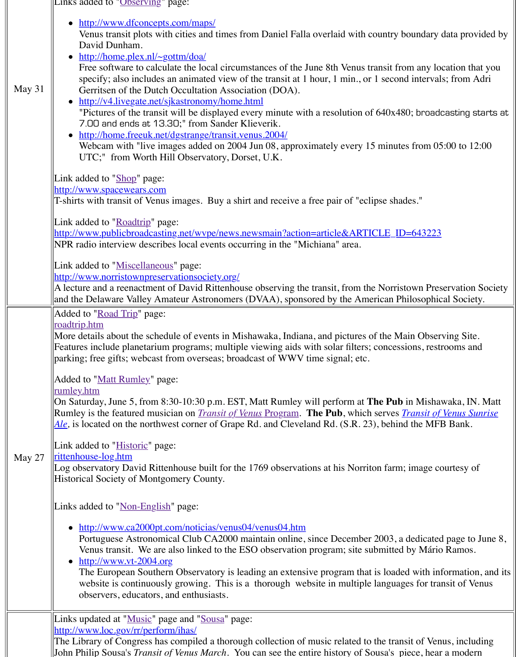|        | Link added to " <b>Shop</b> " page:                                                              |
|--------|--------------------------------------------------------------------------------------------------|
|        | http://www.spacewears.com                                                                        |
|        | T-shirts with transit of Venus images. Buy a shirt and receive a free pair of "eclips"           |
|        | Link added to "Roadtrip" page:                                                                   |
|        | http://www.publicbroadcasting.net/wype/news.newsmain?action=article&ARTICI                       |
|        | NPR radio interview describes local events occurring in the "Michiana" area.                     |
|        | Link added to "Miscellaneous" page:                                                              |
|        | http://www.norristownpreservationsociety.org/                                                    |
|        | A lecture and a reenactment of David Rittenhouse observing the transit, from the $\mathbb N$     |
|        | and the Delaware Valley Amateur Astronomers (DVAA), sponsored by the Ameri                       |
|        | Added to "Road Trip" page:                                                                       |
|        | <u>roadtrip.htm</u>                                                                              |
|        | More details about the schedule of events in Mishawaka, Indiana, and pictures of t               |
|        | Features include planetarium programs; multiple viewing aids with solar filters; co              |
|        | parking; free gifts; webcast from overseas; broadcast of WWV time signal; etc.                   |
|        | Added to "Matt Rumley" page:                                                                     |
|        | <u>rumley.htm</u>                                                                                |
|        | On Saturday, June 5, from 8:30-10:30 p.m. EST, Matt Rumley will perform at The                   |
|        | Rumley is the featured musician on <i>Transit of Venus Program</i> . The Pub, which se           |
|        | $\vert A \vert e$ , is located on the northwest corner of Grape Rd. and Cleveland Rd. (S.R. 23), |
|        | Link added to "Historic" page:                                                                   |
| May 27 | <u>rittenhouse-log.htm</u>                                                                       |
|        | Log observatory David Rittenhouse built for the 1769 observations at his Norriton                |
|        | Historical Society of Montgomery County.                                                         |
|        |                                                                                                  |
|        | Links added to " <u>Non-English</u> " page:                                                      |
|        | • http://www.ca2000pt.com/noticias/venus04/venus04.htm                                           |
|        | Portuguese Astronomical Club CA2000 maintain online, since December 20                           |
|        | Venus transit. We are also linked to the ESO observation program; site subr                      |
|        | $\bullet$ http://www.vt-2004.org                                                                 |
|        | The European Southern Observatory is leading an extensive program that is                        |
|        | website is continuously growing. This is a thorough website in multiple la                       |
|        | observers, educators, and enthusiasts.                                                           |
|        | Links updated at "Music" page and "Sousa" page:                                                  |
|        | http://www.loc.gov/rr/perform/ihas/                                                              |
|        | The Library of Congress has compiled a thorough collection of music related to th                |
|        | John Philip Sousa's <i>Transit of Venus March</i> . You can see the entire history of Sou        |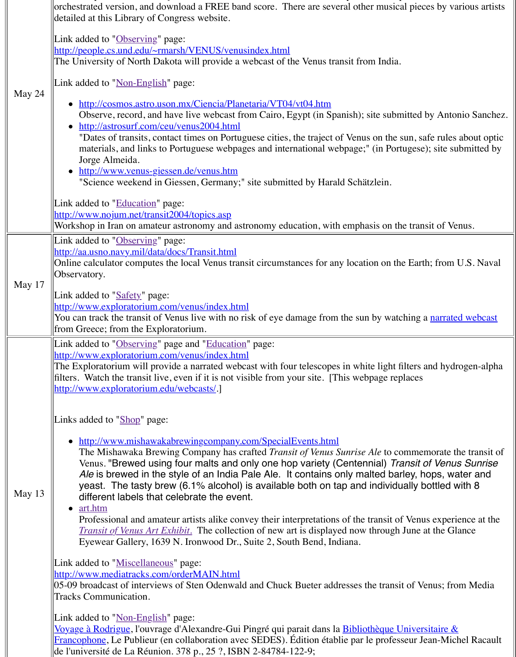|          | • http://www.venus-giessen.de/venus.htm<br>"Science weekend in Giessen, Germany;" site submitted by Harald Schätzle                                                                                                                                                                                                                                                                                                                                                                                                                                                                                                                                                                                                   |
|----------|-----------------------------------------------------------------------------------------------------------------------------------------------------------------------------------------------------------------------------------------------------------------------------------------------------------------------------------------------------------------------------------------------------------------------------------------------------------------------------------------------------------------------------------------------------------------------------------------------------------------------------------------------------------------------------------------------------------------------|
|          | Link added to " <b>Education</b> " page:<br>http://www.nojum.net/transit2004/topics.asp<br>Workshop in Iran on amateur astronomy and astronomy education, with emphasis                                                                                                                                                                                                                                                                                                                                                                                                                                                                                                                                               |
| May 17   | Link added to "Observing" page:<br>http://aa.usno.navy.mil/data/docs/Transit.html<br>Online calculator computes the local Venus transit circumstances for any location<br>Observatory.<br>Link added to "Safety" page:<br>http://www.exploratorium.com/venus/index.html<br>You can track the transit of Venus live with no risk of eye damage from the sun by<br>from Greece; from the Exploratorium.                                                                                                                                                                                                                                                                                                                 |
|          | Link added to "Observing" page and "Education" page:<br>http://www.exploratorium.com/venus/index.html<br>The Exploratorium will provide a narrated webcast with four telescopes in white l<br>filters. Watch the transit live, even if it is not visible from your site. [This webpag]<br>http://www.exploratorium.edu/webcasts/.]                                                                                                                                                                                                                                                                                                                                                                                    |
| May $13$ | Links added to "Shop" page:<br>http://www.mishawakabrewingcompany.com/SpecialEvents.html<br>The Mishawaka Brewing Company has crafted Transit of Venus Sunrise Ale<br>Venus. "Brewed using four malts and only one hop variety (Centennia<br>Ale is brewed in the style of an India Pale Ale. It contains only malter<br>yeast. The tasty brew (6.1% alcohol) is available both on tap and inc<br>different labels that celebrate the event.<br>$\bullet$ art.htm<br>Professional and amateur artists alike convey their interpretations of the tran<br><i>Transit of Venus Art Exhibit.</i> The collection of new art is displayed now three<br>Eyewear Gallery, 1639 N. Ironwood Dr., Suite 2, South Bend, Indiana. |
|          | Link added to "Miscellaneous" page:<br>http://www.mediatracks.com/orderMAIN.html<br>05-09 broadcast of interviews of Sten Odenwald and Chuck Bueter addresses the<br><b>Tracks Communication.</b>                                                                                                                                                                                                                                                                                                                                                                                                                                                                                                                     |
|          | Link added to " <u>Non-English</u> " page:<br>Voyage à Rodrigue, l'ouvrage d'Alexandre-Gui Pingré qui parait dans la Bibliothè<br>Francophone, Le Publieur (en collaboration avec SEDES). Édition établie par le p<br>de l'université de La Réunion. 378 p., 25 ?, ISBN 2-84784-122-9;                                                                                                                                                                                                                                                                                                                                                                                                                                |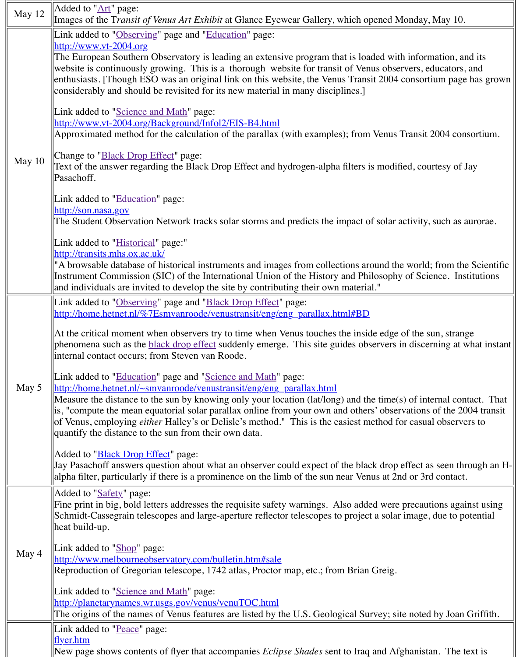|       | Text of the answer regarding the Black Drop Effect and hydrogen-alpha filters is n<br>Pasachoff.                                                                                                                                                                                                                                                                                                                                                                                      |
|-------|---------------------------------------------------------------------------------------------------------------------------------------------------------------------------------------------------------------------------------------------------------------------------------------------------------------------------------------------------------------------------------------------------------------------------------------------------------------------------------------|
|       | Link added to "Education" page:<br>http://son.nasa.gov<br>The Student Observation Network tracks solar storms and predicts the impact of s                                                                                                                                                                                                                                                                                                                                            |
|       | Link added to " <i>Historical</i> " page:"<br>http://transits.mhs.ox.ac.uk/<br>"A browsable database of historical instruments and images from collections arour<br>Instrument Commission (SIC) of the International Union of the History and Philos                                                                                                                                                                                                                                  |
|       | and individuals are invited to develop the site by contributing their own material."                                                                                                                                                                                                                                                                                                                                                                                                  |
|       | Link added to "Observing" page and "Black Drop Effect" page:<br>http://home.hetnet.nl/%7Esmvanroode/venustransit/eng/eng_parallax.html#BD                                                                                                                                                                                                                                                                                                                                             |
|       | At the critical moment when observers try to time when Venus touches the inside<br>phenomena such as the <b>black</b> drop effect suddenly emerge. This site guides obser<br>internal contact occurs; from Steven van Roode.                                                                                                                                                                                                                                                          |
| May 5 | Link added to " <i>Education</i> " page and " <i>Science and Math</i> " page:<br>http://home.hetnet.nl/~smvanroode/venustransit/eng/eng_parallax.html<br>Measure the distance to the sun by knowing only your location (lat/long) and the t<br>is, "compute the mean equatorial solar parallax online from your own and others'<br>of Venus, employing <i>either</i> Halley's or Delisle's method." This is the easiest meth<br>quantify the distance to the sun from their own data. |
|       | Added to " <b>Black Drop Effect</b> " page:<br>Jay Pasachoff answers question about what an observer could expect of the black<br>alpha filter, particularly if there is a prominence on the limb of the sun near Venus                                                                                                                                                                                                                                                               |
|       | Added to "Safety" page:<br>Fine print in big, bold letters addresses the requisite safety warnings. Also added<br>Schmidt-Cassegrain telescopes and large-aperture reflector telescopes to project a<br>heat build-up.                                                                                                                                                                                                                                                                |
| May 4 | Link added to "Shop" page:<br>http://www.melbourneobservatory.com/bulletin.htm#sale<br>Reproduction of Gregorian telescope, 1742 atlas, Proctor map, etc.; from Brian Gr                                                                                                                                                                                                                                                                                                              |
|       | Link added to "Science and Math" page:<br>http://planetarynames.wr.usgs.gov/venus/venuTOC.html<br>The origins of the names of Venus features are listed by the U.S. Geological Surve                                                                                                                                                                                                                                                                                                  |
|       | Link added to "Peace" page:<br>$\frac{f_{\text{I}}}{f_{\text{I}}}$                                                                                                                                                                                                                                                                                                                                                                                                                    |
|       | New page shows contents of flyer that accompanies <i>Eclipse Shades</i> sent to Iraq an                                                                                                                                                                                                                                                                                                                                                                                               |

 $\overline{J}$  100  $\overline{J}$  100  $\overline{J}$  100  $\overline{J}$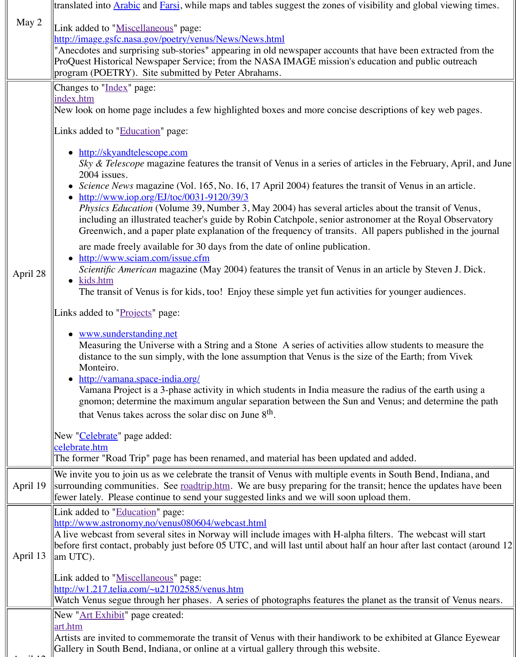| April 28 | $S_N$ ) $\alpha$ <i>Telescope</i> magazine reatures the transit of venus in a series of articles<br>2004 issues.<br><i>Science News</i> magazine (Vol. 165, No. 16, 17 April 2004) features the trans<br>http://www.iop.org/EJ/toc/0031-9120/39/3<br><i>Physics Education</i> (Volume 39, Number 3, May 2004) has several articles a<br>including an illustrated teacher's guide by Robin Catchpole, senior astronom<br>Greenwich, and a paper plate explanation of the frequency of transits. All p<br>are made freely available for 30 days from the date of online publication.<br>http://www.sciam.com/issue.cfm<br><i>Scientific American</i> magazine (May 2004) features the transit of Venus in an<br>kids.htm<br>The transit of Venus is for kids, too! Enjoy these simple yet fun activities for<br>Links added to "Projects" page:<br>www.sunderstanding.net<br>Measuring the Universe with a String and a Stone A series of activities allo<br>distance to the sun simply, with the lone assumption that Venus is the size of<br>Monteiro.<br>• http://vamana.space-india.org/<br>Vamana Project is a 3-phase activity in which students in India measure the<br>gnomon; determine the maximum angular separation between the Sun and Y<br>that Venus takes across the solar disc on June 8 <sup>th</sup> . |
|----------|-------------------------------------------------------------------------------------------------------------------------------------------------------------------------------------------------------------------------------------------------------------------------------------------------------------------------------------------------------------------------------------------------------------------------------------------------------------------------------------------------------------------------------------------------------------------------------------------------------------------------------------------------------------------------------------------------------------------------------------------------------------------------------------------------------------------------------------------------------------------------------------------------------------------------------------------------------------------------------------------------------------------------------------------------------------------------------------------------------------------------------------------------------------------------------------------------------------------------------------------------------------------------------------------------------------------------|
|          | New " <i>Celebrate</i> " page added:<br>celebrate.htm                                                                                                                                                                                                                                                                                                                                                                                                                                                                                                                                                                                                                                                                                                                                                                                                                                                                                                                                                                                                                                                                                                                                                                                                                                                                   |
|          | The former "Road Trip" page has been renamed, and material has been updated an                                                                                                                                                                                                                                                                                                                                                                                                                                                                                                                                                                                                                                                                                                                                                                                                                                                                                                                                                                                                                                                                                                                                                                                                                                          |
| April 19 | We invite you to join us as we celebrate the transit of Venus with multiple events i<br>surrounding communities. See <u>roadtrip.htm</u> . We are busy preparing for the transi<br>fewer lately. Please continue to send your suggested links and we will soon uploa                                                                                                                                                                                                                                                                                                                                                                                                                                                                                                                                                                                                                                                                                                                                                                                                                                                                                                                                                                                                                                                    |
| April 13 | Link added to " <b>Education</b> " page:<br>http://www.astronomy.no/venus080604/webcast.html<br>A live webcast from several sites in Norway will include images with H-alpha filte<br>before first contact, probably just before 05 UTC, and will last until about half an<br>$\parallel$ am UTC).<br>Link added to "Miscellaneous" page:<br>$\frac{\text{http://w1.217.telia.com/~u21702585/venus.htm}}{1}$<br>Watch Venus segue through her phases. A series of photographs features the plane                                                                                                                                                                                                                                                                                                                                                                                                                                                                                                                                                                                                                                                                                                                                                                                                                        |
|          | New "Art Exhibit" page created:<br><u>art.htm</u><br>Artists are invited to commemorate the transit of Venus with their handiwork to be<br>Gallery in South Bend, Indiana, or online at a virtual gallery through this website.                                                                                                                                                                                                                                                                                                                                                                                                                                                                                                                                                                                                                                                                                                                                                                                                                                                                                                                                                                                                                                                                                         |

 $\lambda$  and  $\lambda$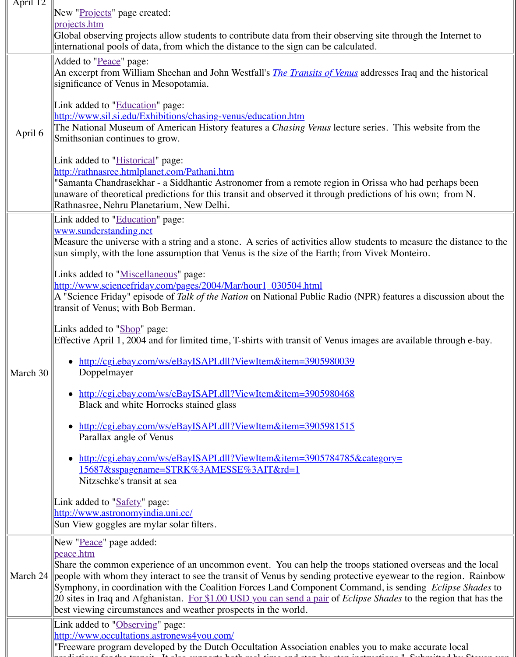|          | http://rathnasree.htmlplanet.com/Pathani.htm<br>"Samanta Chandrasekhar - a Siddhantic Astronomer from a remote region in Oriss<br>unaware of theoretical predictions for this transit and observed it through prediction-<br>Rathnasree, Nehru Planetarium, New Delhi.                                                                                                                                                                                                                                                                                                                                                                                                                                                                                                                                                                                                                                                                                                                                                                 |
|----------|----------------------------------------------------------------------------------------------------------------------------------------------------------------------------------------------------------------------------------------------------------------------------------------------------------------------------------------------------------------------------------------------------------------------------------------------------------------------------------------------------------------------------------------------------------------------------------------------------------------------------------------------------------------------------------------------------------------------------------------------------------------------------------------------------------------------------------------------------------------------------------------------------------------------------------------------------------------------------------------------------------------------------------------|
| March 30 | Link added to "Education" page:<br>www.sunderstanding.net<br>Measure the universe with a string and a stone. A series of activities allow studen<br>sun simply, with the lone assumption that Venus is the size of the Earth; from Vive<br>Links added to "Miscellaneous" page:<br>http://www.sciencefriday.com/pages/2004/Mar/hour1_030504.html<br>A "Science Friday" episode of Talk of the Nation on National Public Radio (NPR)<br>transit of Venus; with Bob Berman.<br>Links added to "Shop" page:<br>Effective April 1, 2004 and for limited time, T-shirts with transit of Venus images<br>http://cgi.ebay.com/ws/eBayISAPI.dll?ViewItem&item=3905980039<br>Doppelmayer<br>http://cgi.ebay.com/ws/eBayISAPI.dll?ViewItem&item=3905980468<br>Black and white Horrocks stained glass<br>http://cgi.ebay.com/ws/eBayISAPI.dll?ViewItem&item=3905981515<br>Parallax angle of Venus<br>http://cgi.ebay.com/ws/eBayISAPI.dll?ViewItem&item=3905784785&categ<br>15687&sspagename=STRK%3AMESSE%3AIT&rd=1<br>Nitzschke's transit at sea |
|          | Link added to "Safety" page:<br>http://www.astronomyindia.uni.cc/<br>Sun View goggles are mylar solar filters.                                                                                                                                                                                                                                                                                                                                                                                                                                                                                                                                                                                                                                                                                                                                                                                                                                                                                                                         |
|          | New "Peace" page added:<br><u>peace.htm</u><br>Share the common experience of an uncommon event. You can help the troops sta<br>March 24 people with whom they interact to see the transit of Venus by sending protective e<br>Symphony, in coordination with the Coalition Forces Land Component Command<br>20 sites in Iraq and Afghanistan. For \$1.00 USD you can send a pair of <i>Eclipse Si</i><br>best viewing circumstances and weather prospects in the world.                                                                                                                                                                                                                                                                                                                                                                                                                                                                                                                                                               |
|          | Link added to "Observing" page:<br>http://www.occultations.astronews4you.com/<br>"Freeware program developed by the Dutch Occultation Association enables you                                                                                                                                                                                                                                                                                                                                                                                                                                                                                                                                                                                                                                                                                                                                                                                                                                                                          |

[predictions for t](http://www.astronomyindia.uni.cc/)[he tra](http://old.transitofvenus.org/safety.htm)[nsit. It also s](http://www.astronomyindia.uni.cc/)upports both real-time and step-by-dimensions. The step-by-step instruct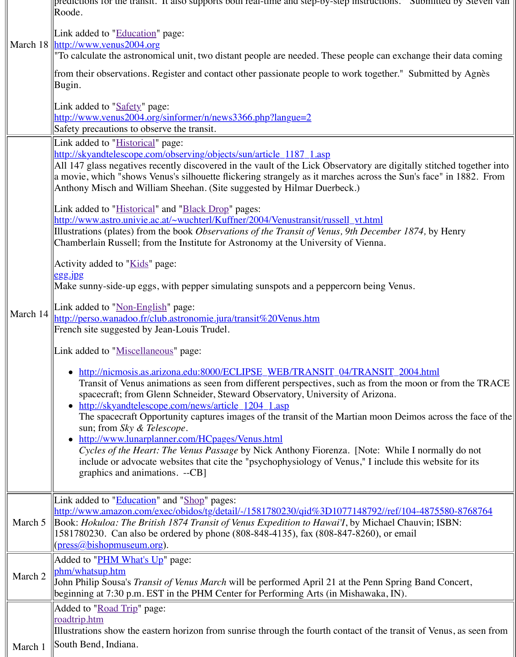| March 14 | All 147 glass negatives recently discovered in the vault of the Lick Observatory an<br>a movie, which "shows Venus's silhouette flickering strangely as it marches across<br>Anthony Misch and William Sheehan. (Site suggested by Hilmar Duerbeck.)<br>Link added to " <i>Historical</i> " and " <i>Black Drop</i> " pages:<br>http://www.astro.univie.ac.at/~wuchterl/Kuffner/2004/Venustransit/russell_vt.htm<br>Illustrations (plates) from the book Observations of the Transit of Venus, 9th Dece<br>Chamberlain Russell; from the Institute for Astronomy at the University of Vienna<br>Activity added to "Kids" page:<br>egg.jpg<br>Make sunny-side-up eggs, with pepper simulating sunspots and a peppercorn bein<br>Link added to " <u>Non-English</u> " page:<br>http://perso.wanadoo.fr/club.astronomie.jura/transit%20Venus.htm<br>French site suggested by Jean-Louis Trudel.<br>Link added to "Miscellaneous" page:<br>• http://nicmosis.as.arizona.edu:8000/ECLIPSE_WEB/TRANSIT_04/TRANS<br>Transit of Venus animations as seen from different perspectives, such as from<br>spacecraft; from Glenn Schneider, Steward Observatory, University of Arize<br>• http://skyandtelescope.com/news/article 1204 1.asp<br>The spacecraft Opportunity captures images of the transit of the Martian mo<br>sun; from Sky & Telescope.<br>• http://www.lunarplanner.com/HCpages/Venus.html<br>Cycles of the Heart: The Venus Passage by Nick Anthony Fiorenza. [Note:<br>include or advocate websites that cite the "psychophysiology of Venus," I in<br>graphics and animations. --CB] |
|----------|------------------------------------------------------------------------------------------------------------------------------------------------------------------------------------------------------------------------------------------------------------------------------------------------------------------------------------------------------------------------------------------------------------------------------------------------------------------------------------------------------------------------------------------------------------------------------------------------------------------------------------------------------------------------------------------------------------------------------------------------------------------------------------------------------------------------------------------------------------------------------------------------------------------------------------------------------------------------------------------------------------------------------------------------------------------------------------------------------------------------------------------------------------------------------------------------------------------------------------------------------------------------------------------------------------------------------------------------------------------------------------------------------------------------------------------------------------------------------------------------------------------------------------------------------------------------------------------------|
| March 5  | Link added to " <b>Education</b> " and "Shop" pages:<br>http://www.amazon.com/exec/obidos/tg/detail/-/1581780230/qid%3D1077148792<br>Book: Hokuloa: The British 1874 Transit of Venus Expedition to Hawai'I, by Mich<br>1581780230. Can also be ordered by phone (808-848-4135), fax (808-847-8260),<br>(press@bishopmuseum.org).                                                                                                                                                                                                                                                                                                                                                                                                                                                                                                                                                                                                                                                                                                                                                                                                                                                                                                                                                                                                                                                                                                                                                                                                                                                              |
|          | Added to " <u>PHM What's Up</u> " page:<br>phm/whatsup.htm                                                                                                                                                                                                                                                                                                                                                                                                                                                                                                                                                                                                                                                                                                                                                                                                                                                                                                                                                                                                                                                                                                                                                                                                                                                                                                                                                                                                                                                                                                                                     |
| March 2  | John Philip Sousa's <i>Transit of Venus March</i> will be performed April 21 at the Penr<br>beginning at 7:30 p.m. EST in the PHM Center for Performing Arts (in Mishawak                                                                                                                                                                                                                                                                                                                                                                                                                                                                                                                                                                                                                                                                                                                                                                                                                                                                                                                                                                                                                                                                                                                                                                                                                                                                                                                                                                                                                      |
|          | Added to "Road Trip" page:<br><u>roadtrip.htm</u>                                                                                                                                                                                                                                                                                                                                                                                                                                                                                                                                                                                                                                                                                                                                                                                                                                                                                                                                                                                                                                                                                                                                                                                                                                                                                                                                                                                                                                                                                                                                              |
|          | Illustrations show the eastern horizon from sunrise through the fourth contact of th                                                                                                                                                                                                                                                                                                                                                                                                                                                                                                                                                                                                                                                                                                                                                                                                                                                                                                                                                                                                                                                                                                                                                                                                                                                                                                                                                                                                                                                                                                           |
| March 1  | South Bend, Indiana.                                                                                                                                                                                                                                                                                                                                                                                                                                                                                                                                                                                                                                                                                                                                                                                                                                                                                                                                                                                                                                                                                                                                                                                                                                                                                                                                                                                                                                                                                                                                                                           |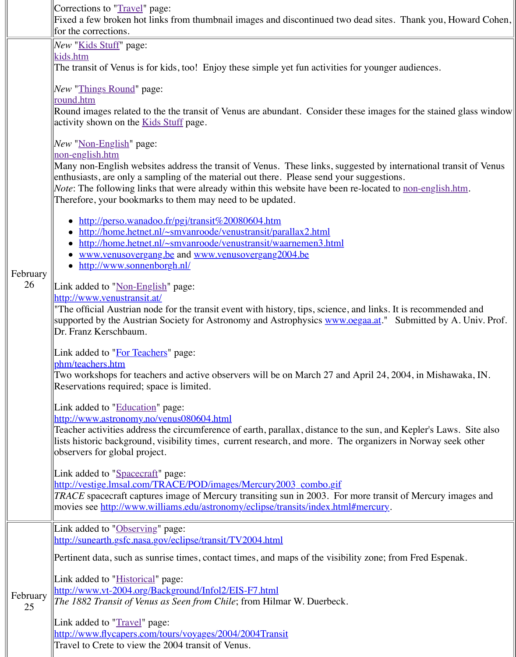|                | Many non-English websites address the transit of Venus. These links, suggested b<br>enthusiasts, are only a sampling of the material out there. Please send your sugges<br><i>Note</i> : The following links that were already within this website have been re-locat<br>Therefore, your bookmarks to them may need to be updated. |
|----------------|------------------------------------------------------------------------------------------------------------------------------------------------------------------------------------------------------------------------------------------------------------------------------------------------------------------------------------|
| February       | http://perso.wanadoo.fr/pgj/transit%20080604.htm<br>http://home.hetnet.nl/~smvanroode/venustransit/parallax2.html<br>http://home.hetnet.nl/~smvanroode/venustransit/waarnemen3.html<br>www.venusovergang.be and www.venusovergang2004.be<br>http://www.sonnenborgh.nl/<br>$\bullet$                                                |
| 26             | Link added to " <u>Non-English</u> " page:<br>http://www.venustransit.at/<br>"The official Austrian node for the transit event with history, tips, science, and link<br>supported by the Austrian Society for Astronomy and Astrophysics www.oegaa.at<br>Dr. Franz Kerschbaum.                                                     |
|                | Link added to " <b>For Teachers</b> " page:<br>phm/teachers.htm<br>Two workshops for teachers and active observers will be on March 27 and April 2<br>Reservations required; space is limited.                                                                                                                                     |
|                | Link added to "Education" page:<br>http://www.astronomy.no/venus080604.html<br>Teacher activities address the circumference of earth, parallax, distance to the sun.<br>lists historic background, visibility times, current research, and more. The organi<br>observers for global project.                                       |
|                | Link added to "Spacecraft" page:<br>http://vestige.lmsal.com/TRACE/POD/images/Mercury2003_combo.gif<br>$ TRACE$ spacecraft captures image of Mercury transiting sun in 2003. For more tra<br>movies see http://www.williams.edu/astronomy/eclipse/transits/index.html#mercu                                                        |
|                | Link added to "Observing" page:<br>http://sunearth.gsfc.nasa.gov/eclipse/transit/TV2004.html                                                                                                                                                                                                                                       |
|                | Pertinent data, such as sunrise times, contact times, and maps of the visibility zone                                                                                                                                                                                                                                              |
| February<br>25 | Link added to " <b>Historical</b> " page:<br>http://www.vt-2004.org/Background/Infol2/EIS-F7.html<br>The 1882 Transit of Venus as Seen from Chile; from Hilmar W. Duerbeck.                                                                                                                                                        |
|                | Link added to " <i>Travel</i> " page:<br>http://www.flycapers.com/tours/voyages/2004/2004Transit<br>Travel to Crete to view the 2004 transit of Venus.                                                                                                                                                                             |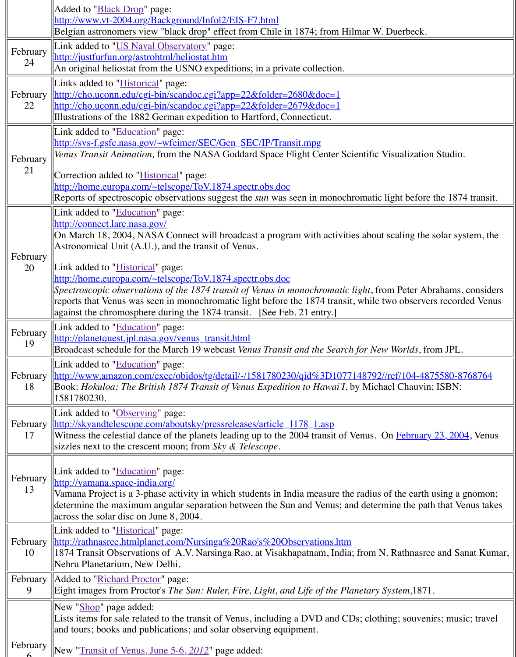| 21             | Correction added to " <i>Historical</i> " page:                                                                                                                                                                                                                                                                                                              |
|----------------|--------------------------------------------------------------------------------------------------------------------------------------------------------------------------------------------------------------------------------------------------------------------------------------------------------------------------------------------------------------|
|                | http://home.europa.com/~telscope/ToV.1874.spectr.obs.doc<br>Reports of spectroscopic observations suggest the <i>sun</i> was seen in monochromatic                                                                                                                                                                                                           |
|                | Link added to " <b>Education</b> " page:<br>http://connect.larc.nasa.gov/<br>On March 18, 2004, NASA Connect will broadcast a program with activities abou<br>Astronomical Unit (A.U.), and the transit of Venus.                                                                                                                                            |
| February<br>20 | Link added to " <b>Historical</b> " page:<br>http://home.europa.com/~telscope/ToV.1874.spectr.obs.doc<br>Spectroscopic observations of the 1874 transit of Venus in monochromatic light, fr<br>reports that Venus was seen in monochromatic light before the 1874 transit, while<br>  against the chromosphere during the 1874 transit. [See Feb. 21 entry.] |
| February<br>19 | Link added to "Education" page:<br>http://planetquest.jpl.nasa.gov/venus_transit.html<br>Broadcast schedule for the March 19 webcast Venus Transit and the Search for Ne                                                                                                                                                                                     |
| February<br>18 | Link added to " <b>Education</b> " page:<br>http://www.amazon.com/exec/obidos/tg/detail/-/1581780230/qid%3D1077148792<br>Book: Hokuloa: The British 1874 Transit of Venus Expedition to Hawai'I, by Mich<br>1581780230.                                                                                                                                      |
| February<br>17 | Link added to "Observing" page:<br><u>  http://skyandtelescope.com/aboutsky/pressreleases/article_1178_1.asp</u><br>Witness the celestial dance of the planets leading up to the 2004 transit of Venus.<br>sizzles next to the crescent moon; from Sky $\&$ Telescope.                                                                                       |
| February<br>13 | Link added to "Education" page:<br>http://vamana.space-india.org/<br>Vamana Project is a 3-phase activity in which students in India measure the radius<br>determine the maximum angular separation between the Sun and Venus; and deter<br>across the solar disc on June $8,2004$ .                                                                         |
| February<br>10 | Link added to " <b>Historical</b> " page:<br>http://rathnasree.htmlplanet.com/Nursinga%20Rao's%20Observations.htm<br>[1874 Transit Observations of A.V. Narsinga Rao, at Visakhapatnam, India; from I<br>Nehru Planetarium, New Delhi.                                                                                                                       |
| February<br>9  | Added to "Richard Proctor" page:<br>Eight images from Proctor's The Sun: Ruler, Fire, Light, and Life of the Planetary                                                                                                                                                                                                                                       |
|                | New "Shop" page added:<br>Lists items for sale related to the transit of Venus, including a DVD and CDs; clot<br>and tours; books and publications; and solar observing equipment.                                                                                                                                                                           |
| February       | New "Transit of Venus, June 5-6, 2012" page added:                                                                                                                                                                                                                                                                                                           |

February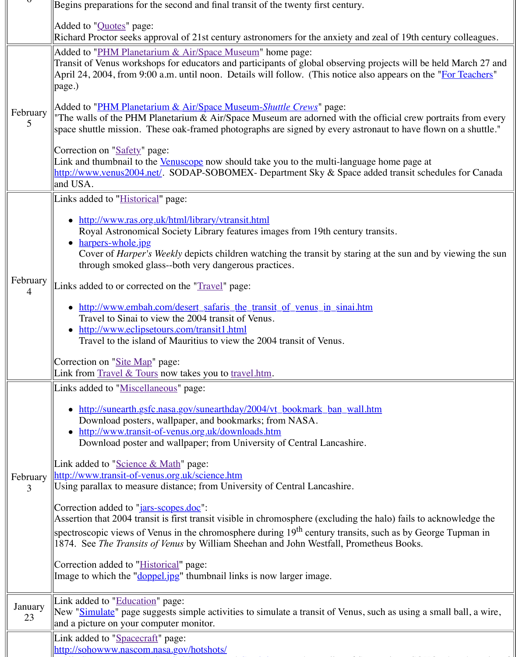|  |               | http://www.venus2004.net/. SODAP-SOBOMEX- Department Sky & Space adde<br>and USA.                                                                                                                                                                                                                                                                                                                                                                                                                                                                                                                                                                                                                                                                                                                                                                                                                                                             |
|--|---------------|-----------------------------------------------------------------------------------------------------------------------------------------------------------------------------------------------------------------------------------------------------------------------------------------------------------------------------------------------------------------------------------------------------------------------------------------------------------------------------------------------------------------------------------------------------------------------------------------------------------------------------------------------------------------------------------------------------------------------------------------------------------------------------------------------------------------------------------------------------------------------------------------------------------------------------------------------|
|  | February<br>4 | Links added to " <i>Historical</i> " page:                                                                                                                                                                                                                                                                                                                                                                                                                                                                                                                                                                                                                                                                                                                                                                                                                                                                                                    |
|  |               | http://www.ras.org.uk/html/library/vtransit.html<br>Royal Astronomical Society Library features images from 19th century tran<br>• <u>harpers-whole.jpg</u><br>Cover of <i>Harper's Weekly</i> depicts children watching the transit by staring at<br>through smoked glass--both very dangerous practices.                                                                                                                                                                                                                                                                                                                                                                                                                                                                                                                                                                                                                                    |
|  |               | Links added to or corrected on the "Travel" page:                                                                                                                                                                                                                                                                                                                                                                                                                                                                                                                                                                                                                                                                                                                                                                                                                                                                                             |
|  |               | • http://www.embah.com/desert_safaris_the_transit_of_venus_in_sinai.htm<br>Travel to Sinai to view the 2004 transit of Venus.<br>• http://www.eclipsetours.com/transit1.html<br>Travel to the island of Mauritius to view the 2004 transit of Venus.                                                                                                                                                                                                                                                                                                                                                                                                                                                                                                                                                                                                                                                                                          |
|  |               | Correction on "Site Map" page:<br>Link from <b>Travel &amp; Tours</b> now takes you to travel.htm.                                                                                                                                                                                                                                                                                                                                                                                                                                                                                                                                                                                                                                                                                                                                                                                                                                            |
|  | February<br>3 | Links added to "Miscellaneous" page:<br>• http://sunearth.gsfc.nasa.gov/sunearthday/2004/vt_bookmark_ban_wall.htm<br>Download posters, wallpaper, and bookmarks; from NASA.<br>• http://www.transit-of-venus.org.uk/downloads.htm<br>Download poster and wallpaper; from University of Central Lancashire.<br>Link added to "Science & Math" page:<br>http://www.transit-of-venus.org.uk/science.htm<br>Using parallax to measure distance; from University of Central Lancashire.<br>Correction added to " <i>jars-scopes.doc</i> ":<br>Assertion that 2004 transit is first transit visible in chromosphere (excluding the ha<br>spectroscopic views of Venus in the chromosphere during $19th$ century transits, sum<br>1874. See The Transits of Venus by William Sheehan and John Westfall, Promethe<br>Correction added to " <b>Historical</b> " page:<br>Image to which the " <u>doppel jpg</u> " thumbnail links is now larger image. |
|  | January<br>23 | Link added to "Education" page:<br>New "Simulate" page suggests simple activities to simulate a transit of Venus, suc<br>and a picture on your computer monitor.                                                                                                                                                                                                                                                                                                                                                                                                                                                                                                                                                                                                                                                                                                                                                                              |
|  |               | Link added to "Spacecraft" page:<br>http://sohowww.nascom.nasa.gov/hotshots/                                                                                                                                                                                                                                                                                                                                                                                                                                                                                                                                                                                                                                                                                                                                                                                                                                                                  |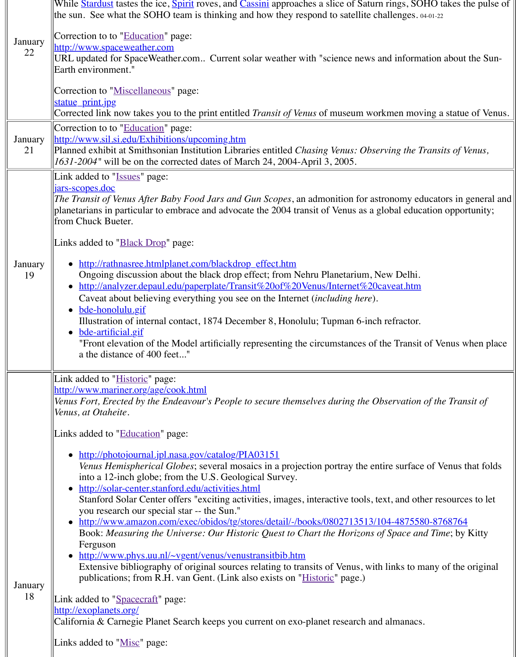|               | Link added to "Issues" page:                                                                                                                                                                                                                       |
|---------------|----------------------------------------------------------------------------------------------------------------------------------------------------------------------------------------------------------------------------------------------------|
|               | <u>jars-scopes.doc</u><br>The Transit of Venus After Baby Food Jars and Gun Scopes, an admonition for ast<br>planetarians in particular to embrace and advocate the 2004 transit of Venus as a g<br>from Chuck Bueter.                             |
|               | Links added to " <b>Black Drop</b> " page:                                                                                                                                                                                                         |
| January<br>19 | • http://rathnasree.htmlplanet.com/blackdrop_effect.htm<br>Ongoing discussion about the black drop effect; from Nehru Planetarium, N<br>• http://analyzer.depaul.edu/paperplate/Transit%20of%20Venus/Internet%20c                                  |
|               | Caveat about believing everything you see on the Internet <i>(including here)</i> .<br>• bde-honolulu.gif                                                                                                                                          |
|               | Illustration of internal contact, 1874 December 8, Honolulu; Tupman 6-inch<br>• bde-artificial.gif                                                                                                                                                 |
|               | "Front elevation of the Model artificially representing the circumstances of<br>a the distance of 400 feet"                                                                                                                                        |
|               | Link added to "Historic" page:<br>http://www.mariner.org/age/cook.html<br>Venus Fort, Erected by the Endeavour's People to secure themselves during the Ol<br>Venus, at Otaheite.                                                                  |
|               | Links added to "Education" page:                                                                                                                                                                                                                   |
|               | • http://photojournal.jpl.nasa.gov/catalog/PIA03151<br>Venus Hemispherical Globes; several mosaics in a projection portray the ent<br>into a 12-inch globe; from the U.S. Geological Survey.<br>• http://solar-center.stanford.edu/activities.html |
|               | Stanford Solar Center offers "exciting activities, images, interactive tools, te<br>you research our special star -- the Sun."                                                                                                                     |
|               | • http://www.amazon.com/exec/obidos/tg/stores/detail/-/books/0802713513/1<br>Book: Measuring the Universe: Our Historic Quest to Chart the Horizons of<br>Ferguson                                                                                 |
| January       | • http://www.phys.uu.nl/~vgent/venus/venustransitbib.htm<br>Extensive bibliography of original sources relating to transits of Venus, with<br>publications; from R.H. van Gent. (Link also exists on "Historic" page.)                             |
| 18            | Link added to "Spacecraft" page:<br>http://exoplanets.org/                                                                                                                                                                                         |
|               | California & Carnegie Planet Search keeps you current on exo-planet research and                                                                                                                                                                   |
|               | Links added to "Misc" page:                                                                                                                                                                                                                        |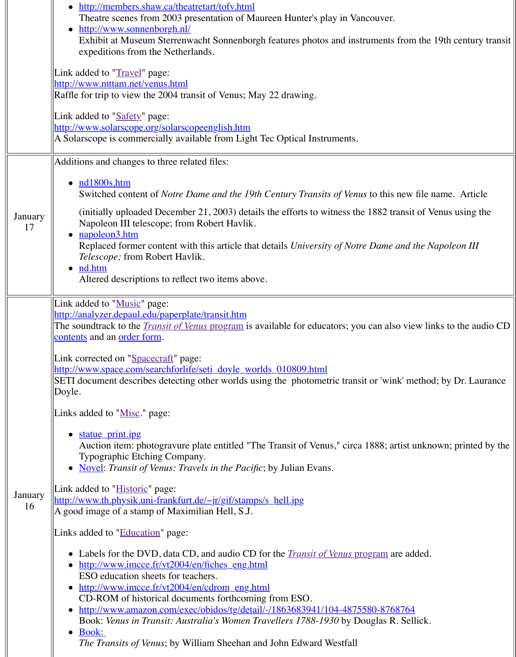| January<br>17 | $\bullet$ nd 1800s.htm<br>Switched content of <i>Notre Dame and the 19th Century Transits of Venus</i> to<br>(initially uploaded December 21, 2003) details the efforts to witness the 188<br>Napoleon III telescope; from Robert Havlik.<br>• <u>napoleon3.htm</u><br>Replaced former content with this article that details University of Notre Da<br><i>Telescope</i> ; from Robert Havlik.<br>$\bullet$ nd.htm<br>Altered descriptions to reflect two items above.                                                        |
|---------------|-------------------------------------------------------------------------------------------------------------------------------------------------------------------------------------------------------------------------------------------------------------------------------------------------------------------------------------------------------------------------------------------------------------------------------------------------------------------------------------------------------------------------------|
|               | Link added to "Music" page:<br>http://analyzer.depaul.edu/paperplate/transit.htm<br>The soundtrack to the <i>Transit of Venus</i> program is available for educators; you can<br>contents and an order form.                                                                                                                                                                                                                                                                                                                  |
|               | Link corrected on "Spacecraft" page:<br>http://www.space.com/searchforlife/seti_doyle_worlds_010809.html<br>SETI document describes detecting other worlds using the photometric transit or<br>Doyle.                                                                                                                                                                                                                                                                                                                         |
|               | Links added to "Misc." page:                                                                                                                                                                                                                                                                                                                                                                                                                                                                                                  |
|               | statue print.jpg<br>Auction item: photogravure plate entitled "The Transit of Venus," circa 188<br>Typographic Etching Company.<br>• Novel: Transit of Venus: Travels in the Pacific; by Julian Evans.                                                                                                                                                                                                                                                                                                                        |
| January<br>16 | Link added to " <i>Historic</i> " page:<br>http://www.th.physik.uni-frankfurt.de/~jr/gif/stamps/s_hell.jpg<br>A good image of a stamp of Maximilian Hell, S.J.                                                                                                                                                                                                                                                                                                                                                                |
|               | Links added to "Education" page:                                                                                                                                                                                                                                                                                                                                                                                                                                                                                              |
|               | • Labels for the DVD, data CD, and audio CD for the <i>Transit of Venus</i> progra<br>http://www.imcce.fr/vt2004/en/fiches_eng.html<br>ESO education sheets for teachers.<br>http://www.imcce.fr/vt2004/en/cdrom_eng.html<br>CD-ROM of historical documents forthcoming from ESO.<br>http://www.amazon.com/exec/obidos/tg/detail/-/1863683941/104-4875580-<br>Book: Venus in Transit: Australia's Women Travellers 1788-1930 by Dougla<br>Book:<br><i>The Transits of Venus</i> ; by William Sheehan and John Edward Westfall |
|               |                                                                                                                                                                                                                                                                                                                                                                                                                                                                                                                               |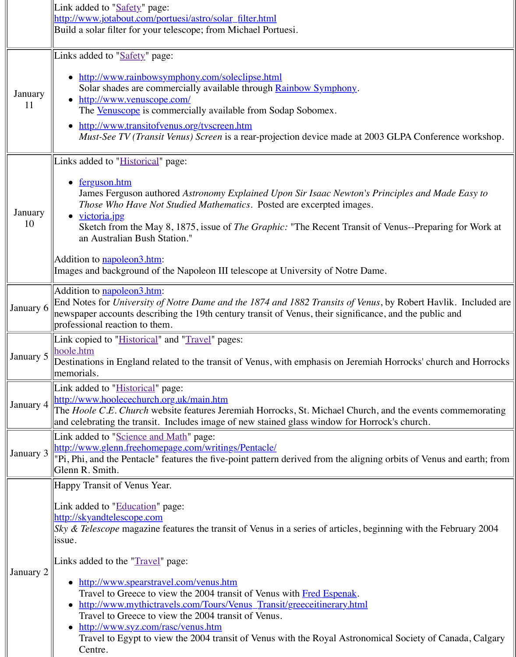|  | January<br>10 | ferguson.htm<br>James Ferguson authored Astronomy Explained Upon Sir Isaac Newton's Pr<br><i>Those Who Have Not Studied Mathematics.</i> Posted are excerpted images.<br>• <u>victoria.jpg</u><br>Sketch from the May 8, 1875, issue of <i>The Graphic</i> : "The Recent Transit of<br>an Australian Bush Station."<br>Addition to <b>napoleon3.htm:</b><br>Images and background of the Napoleon III telescope at University of Notre Dame                                                                                                                                                                                       |
|--|---------------|-----------------------------------------------------------------------------------------------------------------------------------------------------------------------------------------------------------------------------------------------------------------------------------------------------------------------------------------------------------------------------------------------------------------------------------------------------------------------------------------------------------------------------------------------------------------------------------------------------------------------------------|
|  | January 6     | Addition to <b>napoleon3.htm:</b><br>End Notes for University of Notre Dame and the 1874 and 1882 Transits of Venus<br>newspaper accounts describing the 19th century transit of Venus, their significance<br>professional reaction to them.                                                                                                                                                                                                                                                                                                                                                                                      |
|  | January 5     | [Link copied to " <i>Historical</i> " and " <i>Travel</i> " pages:<br>hoole.htm<br>Destinations in England related to the transit of Venus, with emphasis on Jeremiah<br>memorials.                                                                                                                                                                                                                                                                                                                                                                                                                                               |
|  | January 4     | Link added to " <i>Historical</i> " page:<br>http://www.hoolecechurch.org.uk/main.htm<br>The <i>Hoole C.E. Church</i> website features Jeremiah Horrocks, St. Michael Church,<br>and celebrating the transit. Includes image of new stained glass window for Horro                                                                                                                                                                                                                                                                                                                                                                |
|  | January 3     | Link added to "Science and Math" page:<br>http://www.glenn.freehomepage.com/writings/Pentacle/<br>"Pi, Phi, and the Pentacle" features the five-point pattern derived from the aligning<br>Glenn R. Smith.                                                                                                                                                                                                                                                                                                                                                                                                                        |
|  | January 2     | Happy Transit of Venus Year.<br>Link added to "Education" page:<br>http://skyandtelescope.com<br><i>Sky &amp; Telescope</i> magazine features the transit of Venus in a series of articles, beging<br>issue.<br>Links added to the "Travel" page:<br>http://www.spearstravel.com/venus.htm<br>Travel to Greece to view the 2004 transit of Venus with Fred Espenak.<br>http://www.mythictravels.com/Tours/Venus_Transit/greeceitinerary.html<br>Travel to Greece to view the 2004 transit of Venus.<br>http://www.syz.com/rasc/venus.htm<br>Travel to Egypt to view the 2004 transit of Venus with the Royal Astronomi<br>Centre. |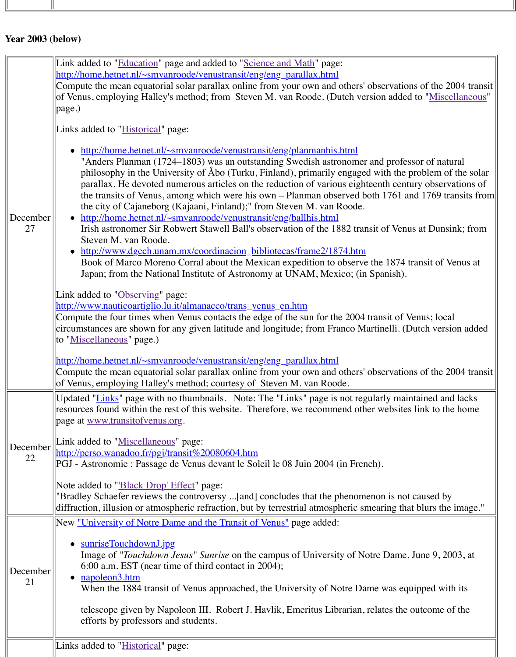| December<br>27      | philosophy in the University of Abo (Turku, Finland), primarily engaged w<br>parallax. He devoted numerous articles on the reduction of various eighteen<br>the transits of Venus, among which were his own – Planman observed both<br>the city of Cajaneborg (Kajaani, Finland);" from Steven M. van Roode.<br>http://home.hetnet.nl/~smvanroode/venustransit/eng/ballhis.html<br>Irish astronomer Sir Robwert Stawell Ball's observation of the 1882 transit<br>Steven M. van Roode.<br>http://www.dgcch.unam.mx/coordinacion_bibliotecas/frame2/1874.htm<br>$\bullet$<br>Book of Marco Moreno Corral about the Mexican expedition to observe the<br>Japan; from the National Institute of Astronomy at UNAM, Mexico; (in Sp.<br>Link added to " <b>Observing</b> " page:<br>http://www.nauticoartiglio.lu.it/almanacco/trans_venus_en.htm<br>Compute the four times when Venus contacts the edge of the sun for the 2004 tran<br>circumstances are shown for any given latitude and longitude; from Franco Martin |
|---------------------|----------------------------------------------------------------------------------------------------------------------------------------------------------------------------------------------------------------------------------------------------------------------------------------------------------------------------------------------------------------------------------------------------------------------------------------------------------------------------------------------------------------------------------------------------------------------------------------------------------------------------------------------------------------------------------------------------------------------------------------------------------------------------------------------------------------------------------------------------------------------------------------------------------------------------------------------------------------------------------------------------------------------|
|                     | to "Miscellaneous" page.)<br>http://home.hetnet.nl/~smvanroode/venustransit/eng/eng_parallax.html<br>Compute the mean equatorial solar parallax online from your own and others' obs<br>of Venus, employing Halley's method; courtesy of Steven M. van Roode.                                                                                                                                                                                                                                                                                                                                                                                                                                                                                                                                                                                                                                                                                                                                                        |
| $December \ $<br>22 | Updated "Links" page with no thumbnails. Note: The "Links" page is not regular<br>resources found within the rest of this website. Therefore, we recommend other v<br>page at <u>www.transitofvenus.org</u> .<br>Link added to "Miscellaneous" page:<br><u>  http://perso.wanadoo.fr/pgj/transit%20080604.htm</u><br>PGJ - Astronomie : Passage de Venus devant le Soleil le 08 Juin 2004 (in French)<br>Note added to " <b>Black Drop' Effect</b> " page:<br>"Bradley Schaefer reviews the controversy [and] concludes that the phenomeno<br>diffraction, illusion or atmospheric refraction, but by terrestrial atmospheric smea                                                                                                                                                                                                                                                                                                                                                                                   |
| December<br>21      | New <u>"University of Notre Dame and the Transit of Venus"</u> page added:<br>sunriseTouchdownJ.jpg<br>Image of " <i>Touchdown Jesus</i> " Sunrise on the campus of University of Notre<br>$6:00$ a.m. EST (near time of third contact in 2004);<br>napoleon3.htm<br>$\bullet$<br>When the 1884 transit of Venus approached, the University of Notre Dame<br>telescope given by Napoleon III. Robert J. Havlik, Emeritus Librarian, rela<br>efforts by professors and students.                                                                                                                                                                                                                                                                                                                                                                                                                                                                                                                                      |
|                     | Links added to "Historical" page:                                                                                                                                                                                                                                                                                                                                                                                                                                                                                                                                                                                                                                                                                                                                                                                                                                                                                                                                                                                    |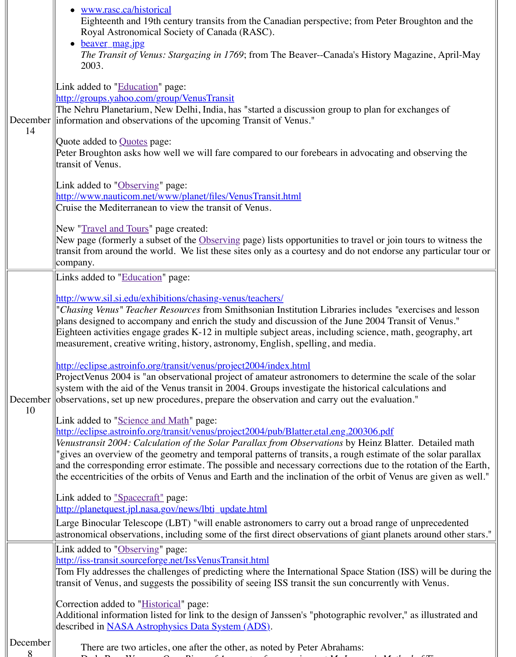|          | tralisit of vellus.                                                                                                                                                                                                                                                                                                                                                                                                                                                                   |
|----------|---------------------------------------------------------------------------------------------------------------------------------------------------------------------------------------------------------------------------------------------------------------------------------------------------------------------------------------------------------------------------------------------------------------------------------------------------------------------------------------|
|          | Link added to "Observing" page:<br>http://www.nauticom.net/www/planet/files/VenusTransit.html                                                                                                                                                                                                                                                                                                                                                                                         |
|          | Cruise the Mediterranean to view the transit of Venus.                                                                                                                                                                                                                                                                                                                                                                                                                                |
|          | New " <i>Travel and Tours</i> " page created:<br>New page (formerly a subset of the Observing page) lists opportunities to travel o<br>transit from around the world. We list these sites only as a courtesy and do not en<br>company.                                                                                                                                                                                                                                                |
|          | Links added to "Education" page:                                                                                                                                                                                                                                                                                                                                                                                                                                                      |
|          | http://www.sil.si.edu/exhibitions/chasing-venus/teachers/<br>"Chasing Venus" Teacher Resources from Smithsonian Institution Libraries inclue<br>plans designed to accompany and enrich the study and discussion of the June 200<br>Eighteen activities engage grades K-12 in multiple subject areas, including scienc<br>measurement, creative writing, history, astronomy, English, spelling, and media.                                                                             |
|          | http://eclipse.astroinfo.org/transit/venus/project2004/index.html<br>ProjectVenus 2004 is "an observational project of amateur astronomers to determi<br>system with the aid of the Venus transit in 2004. Groups investigate the historical<br>December observations, set up new procedures, prepare the observation and carry out the ev-                                                                                                                                           |
| 10       | Link added to "Science and Math" page:<br>http://eclipse.astroinfo.org/transit/venus/project2004/pub/Blatter.etal.eng.200306.<br>Venustransit 2004: Calculation of the Solar Parallax from Observations by Heinz<br>"gives an overview of the geometry and temporal patterns of transits, a rough esti<br>and the corresponding error estimate. The possible and necessary corrections due<br>the eccentricities of the orbits of Venus and Earth and the inclination of the orbit of |
|          | Link added to <u>"Spacecraft"</u> page:<br>http://planetquest.jpl.nasa.gov/news/lbti_update.html<br>Large Binocular Telescope (LBT) "will enable astronomers to carry out a broad ra                                                                                                                                                                                                                                                                                                  |
|          | astronomical observations, including some of the first direct observations of giant                                                                                                                                                                                                                                                                                                                                                                                                   |
|          | Link added to "Observing" page:<br>http://iss-transit.sourceforge.net/IssVenusTransit.html<br>Tom Fly addresses the challenges of predicting where the International Space Stat<br>transit of Venus, and suggests the possibility of seeing ISS transit the sun concurre                                                                                                                                                                                                              |
|          | Correction added to " <i>Historical</i> " page:<br>Additional information listed for link to the design of Janssen's "photographic rev<br>described in NASA Astrophysics Data System (ADS).                                                                                                                                                                                                                                                                                           |
| December | There are two articles, one after the other, as noted by Peter Abrahams:                                                                                                                                                                                                                                                                                                                                                                                                              |

De la R[ue, Warren.](http://old.transitofvenus.org/spacecraft.htm) *[On a Piece of Apparatus fo](http://planetquest.jpl.nasa.gov/news/lbti_update.html)r carrying out M. Janssen's Method of Time-*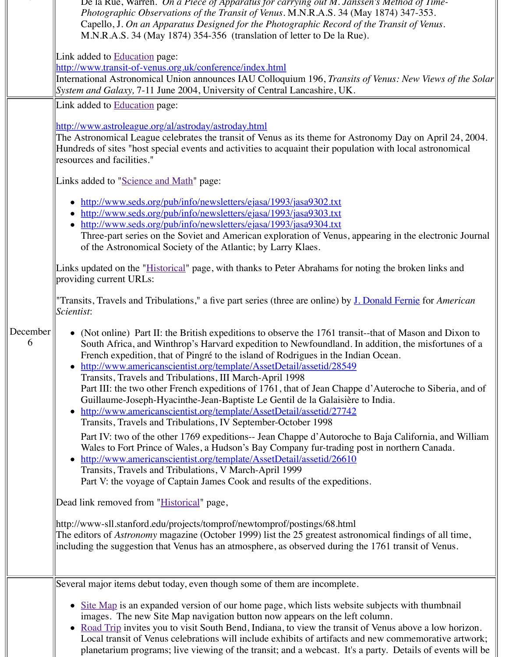|                 | Links added to "Science and Math" page:                                                                                                                                                                                                                                                                                                                                                                                                                                                                                                                                                                                                                                                                                                                                                                                                                                                                                                                                                                                                                                             |
|-----------------|-------------------------------------------------------------------------------------------------------------------------------------------------------------------------------------------------------------------------------------------------------------------------------------------------------------------------------------------------------------------------------------------------------------------------------------------------------------------------------------------------------------------------------------------------------------------------------------------------------------------------------------------------------------------------------------------------------------------------------------------------------------------------------------------------------------------------------------------------------------------------------------------------------------------------------------------------------------------------------------------------------------------------------------------------------------------------------------|
|                 | http://www.seds.org/pub/info/newsletters/ejasa/1993/jasa9302.txt<br>http://www.seds.org/pub/info/newsletters/ejasa/1993/jasa9303.txt<br>http://www.seds.org/pub/info/newsletters/ejasa/1993/jasa9304.txt<br>Three-part series on the Soviet and American exploration of Venus, appeari<br>of the Astronomical Society of the Atlantic; by Larry Klaes.                                                                                                                                                                                                                                                                                                                                                                                                                                                                                                                                                                                                                                                                                                                              |
|                 | Links updated on the " <i>Historical</i> " page, with thanks to Peter Abrahams for noting<br>providing current URLs:                                                                                                                                                                                                                                                                                                                                                                                                                                                                                                                                                                                                                                                                                                                                                                                                                                                                                                                                                                |
|                 | "Transits, Travels and Tribulations," a five part series (three are online) by J. Don<br>Scientist:                                                                                                                                                                                                                                                                                                                                                                                                                                                                                                                                                                                                                                                                                                                                                                                                                                                                                                                                                                                 |
| December  <br>6 | • (Not online) Part II: the British expeditions to observe the 1761 transit--tha<br>South Africa, and Winthrop's Harvard expedition to Newfoundland. In add<br>French expedition, that of Pingré to the island of Rodrigues in the Indian O<br>http://www.americanscientist.org/template/AssetDetail/assetid/28549<br>$\bullet$<br>Transits, Travels and Tribulations, III March-April 1998<br>Part III: the two other French expeditions of 1761, that of Jean Chappe d'A<br>Guillaume-Joseph-Hyacinthe-Jean-Baptiste Le Gentil de la Galaisière to In<br>http://www.americanscientist.org/template/AssetDetail/assetid/27742<br>$\bullet$<br>Transits, Travels and Tribulations, IV September-October 1998<br>Part IV: two of the other 1769 expeditions-- Jean Chappe d'Autoroche to B<br>Wales to Fort Prince of Wales, a Hudson's Bay Company fur-trading post in<br>http://www.americanscientist.org/template/AssetDetail/assetid/26610<br>Transits, Travels and Tribulations, V March-April 1999<br>Part V: the voyage of Captain James Cook and results of the expeditions. |
|                 | Dead link removed from "Historical" page,<br>http://www-sll.stanford.edu/projects/tomprof/newtomprof/postings/68.html                                                                                                                                                                                                                                                                                                                                                                                                                                                                                                                                                                                                                                                                                                                                                                                                                                                                                                                                                               |
|                 | The editors of <i>Astronomy</i> magazine (October 1999) list the 25 greatest astronomic<br>including the suggestion that Venus has an atmosphere, as observed during the 17                                                                                                                                                                                                                                                                                                                                                                                                                                                                                                                                                                                                                                                                                                                                                                                                                                                                                                         |
|                 | Several major items debut today, even though some of them are incomplete.                                                                                                                                                                                                                                                                                                                                                                                                                                                                                                                                                                                                                                                                                                                                                                                                                                                                                                                                                                                                           |
|                 | Site Map is an expanded version of our home page, which lists website sub-<br>images. The new Site Map navigation button now appears on the left colune<br>Road Trip invites you to visit South Bend, Indiana, to view the transit of Ve<br>Local transit of Venus celebrations will include exhibits of artifacts and nev<br>planetarium programs; live viewing of the transit; and a webcast. It's a part                                                                                                                                                                                                                                                                                                                                                                                                                                                                                                                                                                                                                                                                         |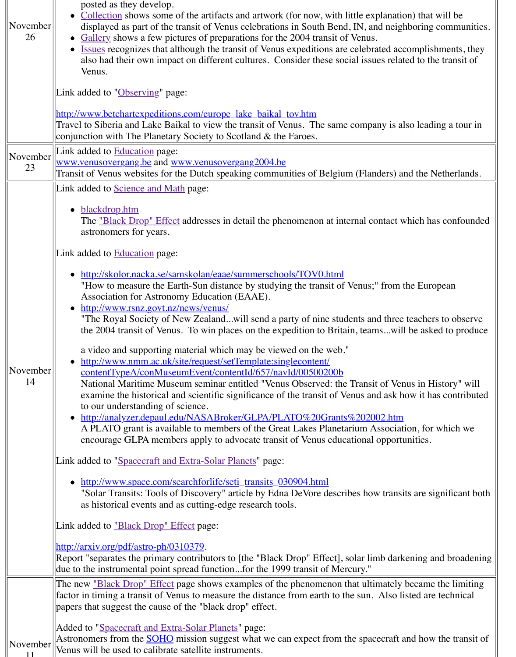| 23             | 11450   015   115   106   117   117   117   11450   015   115   126   137   138<br>Transit of Venus websites for the Dutch speaking communities of Belgium (Fland                                                                                                                                                                                                                                                                                                                                                                                                                                                                                                                                         |
|----------------|-----------------------------------------------------------------------------------------------------------------------------------------------------------------------------------------------------------------------------------------------------------------------------------------------------------------------------------------------------------------------------------------------------------------------------------------------------------------------------------------------------------------------------------------------------------------------------------------------------------------------------------------------------------------------------------------------------------|
|                | Link added to <b>Science and Math</b> page:                                                                                                                                                                                                                                                                                                                                                                                                                                                                                                                                                                                                                                                               |
|                | blackdrop.htm<br>The <u>"Black Drop" Effect</u> addresses in detail the phenomenon at internal cor<br>astronomers for years.<br>Link added to <b>Education</b> page:<br>http://skolor.nacka.se/samskolan/eaae/summerschools/TOV0.html<br>"How to measure the Earth-Sun distance by studying the transit of Venus;"<br>Association for Astronomy Education (EAAE).<br>• http://www.rsnz.govt.nz/news/venus/<br>"The Royal Society of New Zealandwill send a party of nine students and<br>the 2004 transit of Venus. To win places on the expedition to Britain, teams<br>a video and supporting material which may be viewed on the web."<br>http://www.nmm.ac.uk/site/request/setTemplate:singlecontent/ |
| November<br>14 | contentTypeA/conMuseumEvent/contentId/657/navId/00500200b<br>National Maritime Museum seminar entitled "Venus Observed: the Transit<br>examine the historical and scientific significance of the transit of Venus and                                                                                                                                                                                                                                                                                                                                                                                                                                                                                     |
|                | to our understanding of science.<br>http://analyzer.depaul.edu/NASABroker/GLPA/PLATO%20Grants%20200<br>$\bullet$<br>A PLATO grant is available to members of the Great Lakes Planetarium As                                                                                                                                                                                                                                                                                                                                                                                                                                                                                                               |
|                | encourage GLPA members apply to advocate transit of Venus educational of<br>Link added to "Spacecraft and Extra-Solar Planets" page:                                                                                                                                                                                                                                                                                                                                                                                                                                                                                                                                                                      |
|                | http://www.space.com/searchforlife/seti_transits_030904.html<br>"Solar Transits: Tools of Discovery" article by Edna DeVore describes how<br>as historical events and as cutting-edge research tools.                                                                                                                                                                                                                                                                                                                                                                                                                                                                                                     |
|                | Link added to <u>"Black Drop" Effect</u> page:                                                                                                                                                                                                                                                                                                                                                                                                                                                                                                                                                                                                                                                            |
|                | http://arxiv.org/pdf/astro-ph/0310379.<br>Report "separates the primary contributors to [the "Black Drop" Effect], solar lim<br>due to the instrumental point spread functionfor the 1999 transit of Mercury."                                                                                                                                                                                                                                                                                                                                                                                                                                                                                            |
|                | The new <u>"Black Drop" Effect</u> page shows examples of the phenomenon that ultim<br>factor in timing a transit of Venus to measure the distance from earth to the sun. $\Lambda$<br>papers that suggest the cause of the "black drop" effect.                                                                                                                                                                                                                                                                                                                                                                                                                                                          |
| November       | Added to "Spacecraft and Extra-Solar Planets" page:<br>Astronomers from the <b>SOHO</b> mission suggest what we can expect from the space<br>Venus will be used to calibrate satellite instruments.                                                                                                                                                                                                                                                                                                                                                                                                                                                                                                       |

11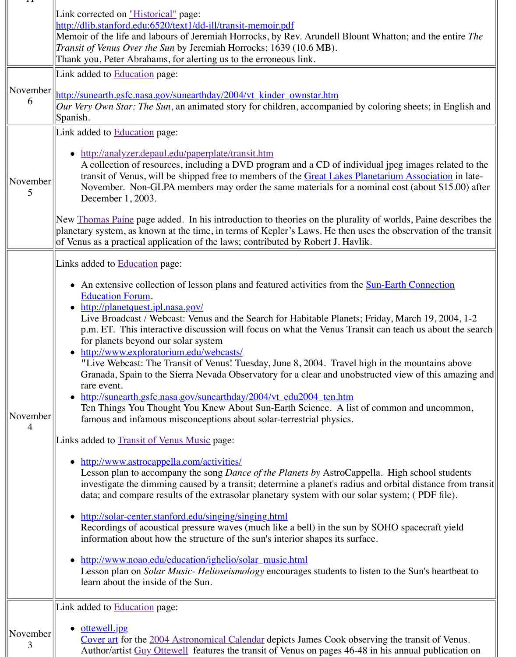| November<br>5 | A conection of resources, including a $DYD$ program and a $CD$ of individual<br>transit of Venus, will be shipped free to members of the Great Lakes Planet<br>November. Non-GLPA members may order the same materials for a nominer-<br>December 1, 2003.                                                                                                                                                                                                                                                                                                                                                                                                                                                                                                                                                                                                                                                                                                                                                                                                                                                                                                                                                                                                                                                                                                                                                                |
|---------------|---------------------------------------------------------------------------------------------------------------------------------------------------------------------------------------------------------------------------------------------------------------------------------------------------------------------------------------------------------------------------------------------------------------------------------------------------------------------------------------------------------------------------------------------------------------------------------------------------------------------------------------------------------------------------------------------------------------------------------------------------------------------------------------------------------------------------------------------------------------------------------------------------------------------------------------------------------------------------------------------------------------------------------------------------------------------------------------------------------------------------------------------------------------------------------------------------------------------------------------------------------------------------------------------------------------------------------------------------------------------------------------------------------------------------|
|               | New <u>Thomas Paine</u> page added. In his introduction to theories on the plurality of<br>planetary system, as known at the time, in terms of Kepler's Laws. He then uses t<br>of Venus as a practical application of the laws; contributed by Robert J. Havlik.                                                                                                                                                                                                                                                                                                                                                                                                                                                                                                                                                                                                                                                                                                                                                                                                                                                                                                                                                                                                                                                                                                                                                         |
| November<br>4 | Links added to <b>Education</b> page:<br>• An extensive collection of lesson plans and featured activities from the Sun<br><b>Education Forum.</b><br>http://planetquest.jpl.nasa.gov/<br>Live Broadcast / Webcast: Venus and the Search for Habitable Planets; Frid<br>p.m. ET. This interactive discussion will focus on what the Venus Transit c<br>for planets beyond our solar system<br>• http://www.exploratorium.edu/webcasts/<br>"Live Webcast: The Transit of Venus! Tuesday, June 8, 2004. Travel high i<br>Granada, Spain to the Sierra Nevada Observatory for a clear and unobstruct<br>rare event.<br>http://sunearth.gsfc.nasa.gov/sunearthday/2004/vt_edu2004_ten.htm<br>$\bullet$<br>Ten Things You Thought You Knew About Sun-Earth Science. A list of co<br>famous and infamous misconceptions about solar-terrestrial physics.<br>Links added to Transit of Venus Music page:<br>http://www.astrocappella.com/activities/<br>Lesson plan to accompany the song <i>Dance of the Planets by</i> AstroCappella<br>investigate the dimming caused by a transit; determine a planet's radius and<br>data; and compare results of the extrasolar planetary system with our solar s<br>http://solar-center.stanford.edu/singing/singing.html<br>Recordings of acoustical pressure waves (much like a bell) in the sun by SQ<br>information about how the structure of the sun's interior shapes its surface. |
|               | http://www.noao.edu/education/ighelio/solar_music.html<br>Lesson plan on <i>Solar Music-Helioseismology</i> encourages students to listen<br>learn about the inside of the Sun.                                                                                                                                                                                                                                                                                                                                                                                                                                                                                                                                                                                                                                                                                                                                                                                                                                                                                                                                                                                                                                                                                                                                                                                                                                           |
|               | Link added to <b>Education</b> page:                                                                                                                                                                                                                                                                                                                                                                                                                                                                                                                                                                                                                                                                                                                                                                                                                                                                                                                                                                                                                                                                                                                                                                                                                                                                                                                                                                                      |
| November<br>3 | ottewell.jpg<br>Cover art for the 2004 Astronomical Calendar depicts James Cook observir<br>Author/artist Guy Ottewell features the transit of Venus on pages 46-48 in                                                                                                                                                                                                                                                                                                                                                                                                                                                                                                                                                                                                                                                                                                                                                                                                                                                                                                                                                                                                                                                                                                                                                                                                                                                    |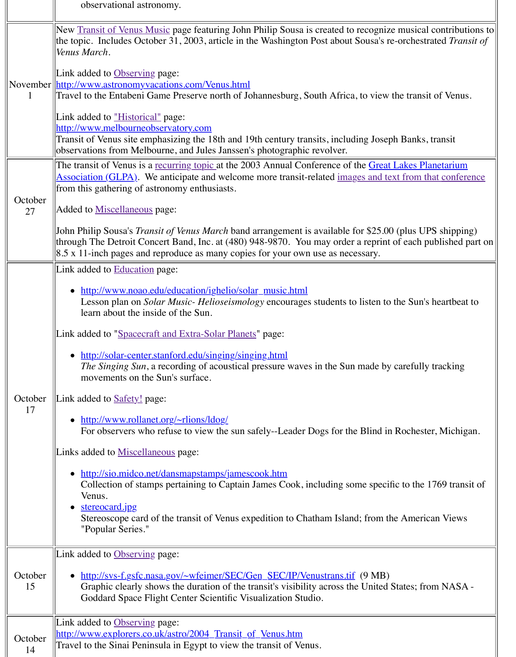| October<br>27 | The transit of venus is a recurring topic at the 2003 Annual Conference of the Life<br><b>Association (GLPA).</b> We anticipate and welcome more transit-related <u>images and</u><br>from this gathering of astronomy enthusiasts.<br>Added to Miscellaneous page:<br>John Philip Sousa's <i>Transit of Venus March</i> band arrangement is available for \$25<br>through The Detroit Concert Band, Inc. at (480) 948-9870. You may order a repri<br>$\vert 8.5 \times 11 \vert$ -inch pages and reproduce as many copies for your own use as necessary.                                                                                                                                                                                                                                                                                                                                                                                      |
|---------------|------------------------------------------------------------------------------------------------------------------------------------------------------------------------------------------------------------------------------------------------------------------------------------------------------------------------------------------------------------------------------------------------------------------------------------------------------------------------------------------------------------------------------------------------------------------------------------------------------------------------------------------------------------------------------------------------------------------------------------------------------------------------------------------------------------------------------------------------------------------------------------------------------------------------------------------------|
| October<br>17 | Link added to Education page:<br>http://www.noao.edu/education/ighelio/solar_music.html<br>Lesson plan on Solar Music-Helioseismology encourages students to listen<br>learn about the inside of the Sun.<br>Link added to "Spacecraft and Extra-Solar Planets" page:<br>http://solar-center.stanford.edu/singing/singing.html<br><i>The Singing Sun</i> , a recording of acoustical pressure waves in the Sun made<br>movements on the Sun's surface.<br>Link added to <b>Safety!</b> page:<br>http://www.rollanet.org/~rlions/ldog/<br>For observers who refuse to view the sun safely--Leader Dogs for the Blind<br>Links added to <b>Miscellaneous</b> page:<br>http://sio.midco.net/dansmapstamps/jamescook.htm<br>Collection of stamps pertaining to Captain James Cook, including some spe<br>Venus.<br>stereocard.jpg<br>$\bullet$<br>Stereoscope card of the transit of Venus expedition to Chatham Island; fron<br>"Popular Series." |
| October<br>15 | Link added to Observing page:<br>http://svs-f.gsfc.nasa.gov/~wfeimer/SEC/Gen_SEC/IP/Venustrans.tif (9 M)<br>Graphic clearly shows the duration of the transit's visibility across the Unite<br>Goddard Space Flight Center Scientific Visualization Studio.                                                                                                                                                                                                                                                                                                                                                                                                                                                                                                                                                                                                                                                                                    |
| October<br>14 | Link added to Observing page:<br>http://www.explorers.co.uk/astro/2004 Transit of Venus.htm<br>Travel to the Sinai Peninsula in Egypt to view the transit of Venus.                                                                                                                                                                                                                                                                                                                                                                                                                                                                                                                                                                                                                                                                                                                                                                            |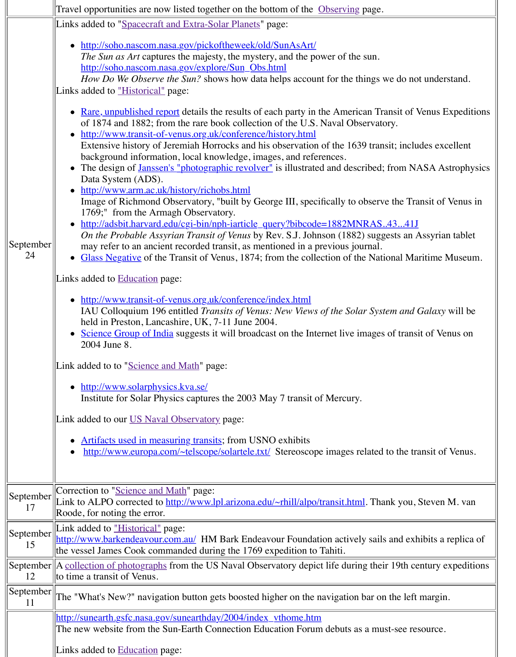| September <br>24 | • The design of <u>Janssen's "photographic revolver"</u> is illustrated and described<br>Data System (ADS).<br>• http://www.arm.ac.uk/history/richobs.html<br>Image of Richmond Observatory, "built by George III, specifically to obser<br>1769;" from the Armagh Observatory.<br>• http://adsbit.harvard.edu/cgi-bin/nph-iarticle_query?bibcode=1882MNRAS<br>On the Probable Assyrian Transit of Venus by Rev. S.J. Johnson (1882) sug<br>may refer to an ancient recorded transit, as mentioned in a previous journal<br>• Glass Negative of the Transit of Venus, 1874; from the collection of the Na<br>Links added to <b>Education</b> page:<br>• http://www.transit-of-venus.org.uk/conference/index.html<br>IAU Colloquium 196 entitled Transits of Venus: New Views of the Solar Sys<br>held in Preston, Lancashire, UK, 7-11 June 2004.<br>• Science Group of India suggests it will broadcast on the Internet live image<br>2004 June 8.<br>Link added to to "Science and Math" page:<br>• http://www.solarphysics.kva.se/<br>Institute for Solar Physics captures the 2003 May 7 transit of Mercury.<br>Link added to our US Naval Observatory page:<br>• Artifacts used in measuring transits; from USNO exhibits<br>http://www.europa.com/~telscope/solartele.txt/ Stereoscope images related |
|------------------|-------------------------------------------------------------------------------------------------------------------------------------------------------------------------------------------------------------------------------------------------------------------------------------------------------------------------------------------------------------------------------------------------------------------------------------------------------------------------------------------------------------------------------------------------------------------------------------------------------------------------------------------------------------------------------------------------------------------------------------------------------------------------------------------------------------------------------------------------------------------------------------------------------------------------------------------------------------------------------------------------------------------------------------------------------------------------------------------------------------------------------------------------------------------------------------------------------------------------------------------------------------------------------------------------------------|
| September<br>17  | Correction to "Science and Math" page:<br>Link to ALPO corrected to http://www.lpl.arizona.edu/~rhill/alpo/transit.html. Th<br>Roode, for noting the error.                                                                                                                                                                                                                                                                                                                                                                                                                                                                                                                                                                                                                                                                                                                                                                                                                                                                                                                                                                                                                                                                                                                                                 |
| September<br>15  | Link added to "Historical" page:<br>http://www.barkendeavour.com.au/ HM Bark Endeavour Foundation actively sail<br>the vessel James Cook commanded during the 1769 expedition to Tahiti.                                                                                                                                                                                                                                                                                                                                                                                                                                                                                                                                                                                                                                                                                                                                                                                                                                                                                                                                                                                                                                                                                                                    |
| 12               | September A collection of photographs from the US Naval Observatory depict life during the<br>to time a transit of Venus.                                                                                                                                                                                                                                                                                                                                                                                                                                                                                                                                                                                                                                                                                                                                                                                                                                                                                                                                                                                                                                                                                                                                                                                   |
|                  | September $\ $ The "What's New?" navigation button gets boosted higher on the navigation bar o                                                                                                                                                                                                                                                                                                                                                                                                                                                                                                                                                                                                                                                                                                                                                                                                                                                                                                                                                                                                                                                                                                                                                                                                              |
|                  | http://sunearth.gsfc.nasa.gov/sunearthday/2004/index vthome.htm<br>The new website from the Sun-Earth Connection Education Forum debuts as a mu                                                                                                                                                                                                                                                                                                                                                                                                                                                                                                                                                                                                                                                                                                                                                                                                                                                                                                                                                                                                                                                                                                                                                             |
|                  | Links added to Education page:                                                                                                                                                                                                                                                                                                                                                                                                                                                                                                                                                                                                                                                                                                                                                                                                                                                                                                                                                                                                                                                                                                                                                                                                                                                                              |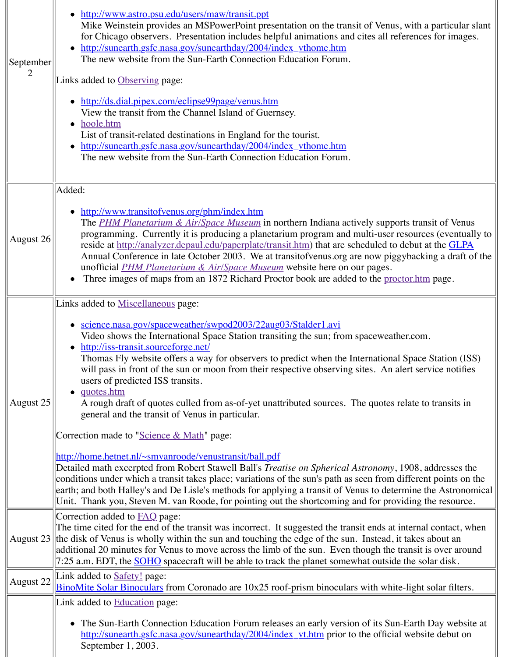| August 26 | Added:<br>http://www.transitofvenus.org/phm/index.htm<br>The PHM Planetarium & Air/Space Museum in northern Indiana actively s<br>programming. Currently it is producing a planetarium program and multi-u<br>reside at http://analyzer.depaul.edu/paperplate/transit.htm) that are schedule<br>Annual Conference in late October 2003. We at transitof venus org are now<br>unofficial <i>PHM Planetarium &amp; Air/Space Museum</i> website here on our pag<br>Three images of maps from an 1872 Richard Proctor book are added to the<br>$\bullet$                                                                                                                                                                                                                                                                                                                                                                                                                                                                                                                                   |
|-----------|-----------------------------------------------------------------------------------------------------------------------------------------------------------------------------------------------------------------------------------------------------------------------------------------------------------------------------------------------------------------------------------------------------------------------------------------------------------------------------------------------------------------------------------------------------------------------------------------------------------------------------------------------------------------------------------------------------------------------------------------------------------------------------------------------------------------------------------------------------------------------------------------------------------------------------------------------------------------------------------------------------------------------------------------------------------------------------------------|
| August 25 | Links added to <b>Miscellaneous</b> page:<br><u>science.nasa.gov/spaceweather/swpod2003/22aug03/Stalder1.avi</u><br>Video shows the International Space Station transiting the sun; from spacey<br>http://iss-transit.sourceforge.net/<br>$\bullet$<br>Thomas Fly website offers a way for observers to predict when the Internat<br>will pass in front of the sun or moon from their respective observing sites.<br>users of predicted ISS transits.<br><u>quotes.htm</u><br>$\bullet$<br>A rough draft of quotes culled from as-of-yet unattributed sources. The quo-<br>general and the transit of Venus in particular.<br>Correction made to "Science & Math" page:<br>http://home.hetnet.nl/~smvanroode/venustransit/ball.pdf<br>Detailed math excerpted from Robert Stawell Ball's Treatise on Spherical Astrond<br>conditions under which a transit takes place; variations of the sun's path as seen fr<br>earth; and both Halley's and De Lisle's methods for applying a transit of Venus to<br>Unit. Thank you, Steven M. van Roode, for pointing out the shortcoming and for |
|           | Correction added to <b>FAQ</b> page:<br>The time cited for the end of the transit was incorrect. It suggested the transit end<br>August $23$ the disk of Venus is wholly within the sun and touching the edge of the sun. Inste<br>additional 20 minutes for Venus to move across the limb of the sun. Even though<br>7:25 a.m. EDT, the <b>SOHO</b> spacecraft will be able to track the planet somewhat ou                                                                                                                                                                                                                                                                                                                                                                                                                                                                                                                                                                                                                                                                            |
| August 22 | Link added to <b>Safety</b> ! page:<br><b>BinoMite Solar Binoculars</b> from Coronado are 10x25 roof-prism binoculars with                                                                                                                                                                                                                                                                                                                                                                                                                                                                                                                                                                                                                                                                                                                                                                                                                                                                                                                                                              |
|           | Link added to <b>Education</b> page:<br>• The Sun-Earth Connection Education Forum releases an early version of its<br>http://sunearth.gsfc.nasa.gov/sunearthday/2004/index_vt.htm prior to the of<br>September 1, 2003.                                                                                                                                                                                                                                                                                                                                                                                                                                                                                                                                                                                                                                                                                                                                                                                                                                                                |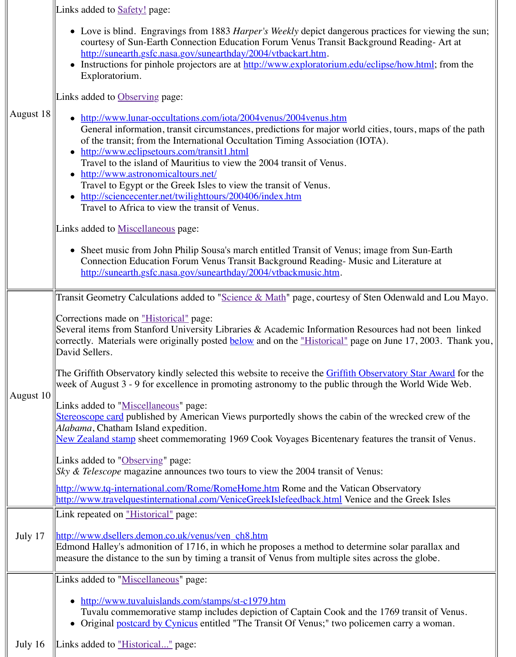|           | • http://www.astronomicaltours.net/<br>Travel to Egypt or the Greek Isles to view the transit of Venus.<br>• http://sciencecenter.net/twilighttours/200406/index.htm<br>Travel to Africa to view the transit of Venus.<br>Links added to Miscellaneous page:<br>• Sheet music from John Philip Sousa's march entitled Transit of Venus; image<br>Connection Education Forum Venus Transit Background Reading- Music a<br>http://sunearth.gsfc.nasa.gov/sunearthday/2004/vtbackmusic.htm.                                                                                                                                                                                                                                                                                                                                                                                                                                                                                                                                                                                   |
|-----------|----------------------------------------------------------------------------------------------------------------------------------------------------------------------------------------------------------------------------------------------------------------------------------------------------------------------------------------------------------------------------------------------------------------------------------------------------------------------------------------------------------------------------------------------------------------------------------------------------------------------------------------------------------------------------------------------------------------------------------------------------------------------------------------------------------------------------------------------------------------------------------------------------------------------------------------------------------------------------------------------------------------------------------------------------------------------------|
| August 10 | Transit Geometry Calculations added to "Science & Math" page, courtesy of Sten<br>Corrections made on "Historical" page:<br>Several items from Stanford University Libraries & Academic Information Resou<br>correctly. Materials were originally posted <b>below</b> and on the " <i>Historical</i> " page on<br>David Sellers.<br>The Griffith Observatory kindly selected this website to receive the <b>Griffith Obser</b><br>week of August $3 - 9$ for excellence in promoting astronomy to the public through<br>Links added to "Miscellaneous" page:<br><b>Stereoscope card</b> published by American Views purportedly shows the cabin of the<br>Alabama, Chatham Island expedition.<br>New Zealand stamp sheet commemorating 1969 Cook Voyages Bicentenary featu<br>Links added to "Observing" page:<br><i>Sky &amp; Telescope</i> magazine announces two tours to view the 2004 transit of Venus<br>http://www.tq-international.com/Rome/RomeHome.htm Rome and the Vatican OI<br>http://www.travelquestinternational.com/VeniceGreekIslefeedback.html Venice an |
| July 17   | Link repeated on "Historical" page:<br>http://www.dsellers.demon.co.uk/venus/ven_ch8.htm<br>Edmond Halley's admonition of 1716, in which he proposes a method to determin<br>measure the distance to the sun by timing a transit of Venus from multiple sites ad                                                                                                                                                                                                                                                                                                                                                                                                                                                                                                                                                                                                                                                                                                                                                                                                           |
|           | Links added to "Miscellaneous" page:                                                                                                                                                                                                                                                                                                                                                                                                                                                                                                                                                                                                                                                                                                                                                                                                                                                                                                                                                                                                                                       |
|           | http://www.tuvaluislands.com/stamps/st-c1979.htm<br>Tuvalu commemorative stamp includes depiction of Captain Cook and the<br>Original postcard by Cynicus entitled "The Transit Of Venus;" two policem                                                                                                                                                                                                                                                                                                                                                                                                                                                                                                                                                                                                                                                                                                                                                                                                                                                                     |
| July $16$ | Links added to "Historical" page:                                                                                                                                                                                                                                                                                                                                                                                                                                                                                                                                                                                                                                                                                                                                                                                                                                                                                                                                                                                                                                          |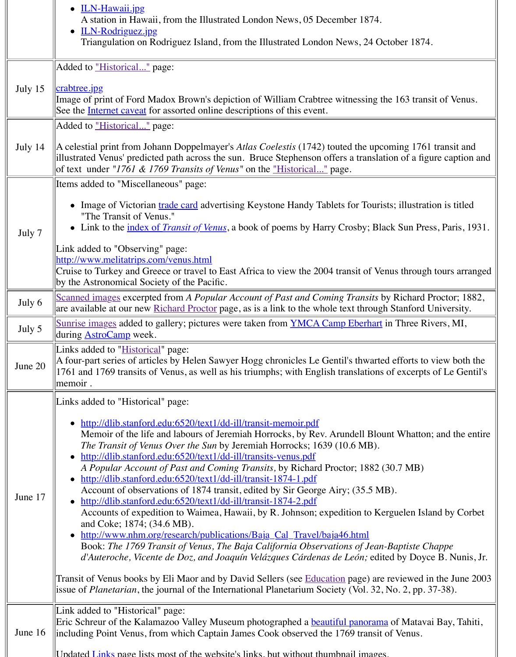| Items added to "Miscellaneous" page:<br>Image of Victorian trade card advertising Keystone Handy Tablets for Tour<br>"The Transit of Venus."<br>• Link to the <u>index of <i>Transit of Venus</i></u> , a book of poems by Harry Crosby; Bl<br>July 7<br>Link added to "Observing" page:<br>http://www.melitatrips.com/venus.html<br>Cruise to Turkey and Greece or travel to East Africa to view the 2004 transit of V<br>by the Astronomical Society of the Pacific.<br>Scanned images excerpted from A Popular Account of Past and Coming Transits<br>July 6<br>are available at our new Richard Proctor page, as is a link to the whole text through<br>Sunrise images added to gallery; pictures were taken from YMCA Camp Eberhar<br>July 5<br>during <b>AstroCamp</b> week.<br>Links added to "Historical" page:<br>A four-part series of articles by Helen Sawyer Hogg chronicles Le Gentil's thwart<br>June 20<br>1761 and 1769 transits of Venus, as well as his triumphs; with English translation<br>memoir.<br>Links added to "Historical" page:<br>http://dlib.stanford.edu:6520/text1/dd-ill/transit-memoir.pdf<br>Memoir of the life and labours of Jeremiah Horrocks, by Rev. Arundell Blo<br>The Transit of Venus Over the Sun by Jeremiah Horrocks; 1639 (10.6 MB).<br>http://dlib.stanford.edu:6520/text1/dd-ill/transits-venus.pdf<br>A Popular Account of Past and Coming Transits, by Richard Proctor; 1882<br>http://dlib.stanford.edu:6520/text1/dd-ill/transit-1874-1.pdf<br>Account of observations of 1874 transit, edited by Sir George Airy; (35.5 M<br>June 17<br>http://dlib.stanford.edu:6520/text1/dd-ill/transit-1874-2.pdf<br>Accounts of expedition to Waimea, Hawaii, by R. Johnson; expedition to K<br>and Coke; 1874; (34.6 MB).<br>http://www.nhm.org/research/publications/Baja_Cal_Travel/baja46.html<br>$\bullet$<br>Book: The 1769 Transit of Venus, The Baja California Observations of Jean<br>d'Auteroche, Vicente de Doz, and Joaquín Velázques Cárdenas de León; edi<br>Transit of Venus books by Eli Maor and by David Sellers (see Education page) are<br>issue of <i>Planetarian</i> , the journal of the International Planetarium Society (Vol. 32)<br>Link added to "Historical" page:<br>Eric Schreur of the Kalamazoo Valley Museum photographed a beautiful panoran<br>June 16<br>including Point Venus, from which Captain James Cook observed the 1769 transit | of text under "1761 & 1769 Transits of Venus" on the <u>"Historical"</u> page.      |
|-----------------------------------------------------------------------------------------------------------------------------------------------------------------------------------------------------------------------------------------------------------------------------------------------------------------------------------------------------------------------------------------------------------------------------------------------------------------------------------------------------------------------------------------------------------------------------------------------------------------------------------------------------------------------------------------------------------------------------------------------------------------------------------------------------------------------------------------------------------------------------------------------------------------------------------------------------------------------------------------------------------------------------------------------------------------------------------------------------------------------------------------------------------------------------------------------------------------------------------------------------------------------------------------------------------------------------------------------------------------------------------------------------------------------------------------------------------------------------------------------------------------------------------------------------------------------------------------------------------------------------------------------------------------------------------------------------------------------------------------------------------------------------------------------------------------------------------------------------------------------------------------------------------------------------------------------------------------------------------------------------------------------------------------------------------------------------------------------------------------------------------------------------------------------------------------------------------------------------------------------------------------------------------------------------------------------------------------------------------------------------------------------------------------------------|-------------------------------------------------------------------------------------|
|                                                                                                                                                                                                                                                                                                                                                                                                                                                                                                                                                                                                                                                                                                                                                                                                                                                                                                                                                                                                                                                                                                                                                                                                                                                                                                                                                                                                                                                                                                                                                                                                                                                                                                                                                                                                                                                                                                                                                                                                                                                                                                                                                                                                                                                                                                                                                                                                                             |                                                                                     |
|                                                                                                                                                                                                                                                                                                                                                                                                                                                                                                                                                                                                                                                                                                                                                                                                                                                                                                                                                                                                                                                                                                                                                                                                                                                                                                                                                                                                                                                                                                                                                                                                                                                                                                                                                                                                                                                                                                                                                                                                                                                                                                                                                                                                                                                                                                                                                                                                                             |                                                                                     |
|                                                                                                                                                                                                                                                                                                                                                                                                                                                                                                                                                                                                                                                                                                                                                                                                                                                                                                                                                                                                                                                                                                                                                                                                                                                                                                                                                                                                                                                                                                                                                                                                                                                                                                                                                                                                                                                                                                                                                                                                                                                                                                                                                                                                                                                                                                                                                                                                                             |                                                                                     |
|                                                                                                                                                                                                                                                                                                                                                                                                                                                                                                                                                                                                                                                                                                                                                                                                                                                                                                                                                                                                                                                                                                                                                                                                                                                                                                                                                                                                                                                                                                                                                                                                                                                                                                                                                                                                                                                                                                                                                                                                                                                                                                                                                                                                                                                                                                                                                                                                                             |                                                                                     |
|                                                                                                                                                                                                                                                                                                                                                                                                                                                                                                                                                                                                                                                                                                                                                                                                                                                                                                                                                                                                                                                                                                                                                                                                                                                                                                                                                                                                                                                                                                                                                                                                                                                                                                                                                                                                                                                                                                                                                                                                                                                                                                                                                                                                                                                                                                                                                                                                                             |                                                                                     |
|                                                                                                                                                                                                                                                                                                                                                                                                                                                                                                                                                                                                                                                                                                                                                                                                                                                                                                                                                                                                                                                                                                                                                                                                                                                                                                                                                                                                                                                                                                                                                                                                                                                                                                                                                                                                                                                                                                                                                                                                                                                                                                                                                                                                                                                                                                                                                                                                                             |                                                                                     |
|                                                                                                                                                                                                                                                                                                                                                                                                                                                                                                                                                                                                                                                                                                                                                                                                                                                                                                                                                                                                                                                                                                                                                                                                                                                                                                                                                                                                                                                                                                                                                                                                                                                                                                                                                                                                                                                                                                                                                                                                                                                                                                                                                                                                                                                                                                                                                                                                                             |                                                                                     |
|                                                                                                                                                                                                                                                                                                                                                                                                                                                                                                                                                                                                                                                                                                                                                                                                                                                                                                                                                                                                                                                                                                                                                                                                                                                                                                                                                                                                                                                                                                                                                                                                                                                                                                                                                                                                                                                                                                                                                                                                                                                                                                                                                                                                                                                                                                                                                                                                                             | II Indated Links page lists most of the website's links but without thumbuail image |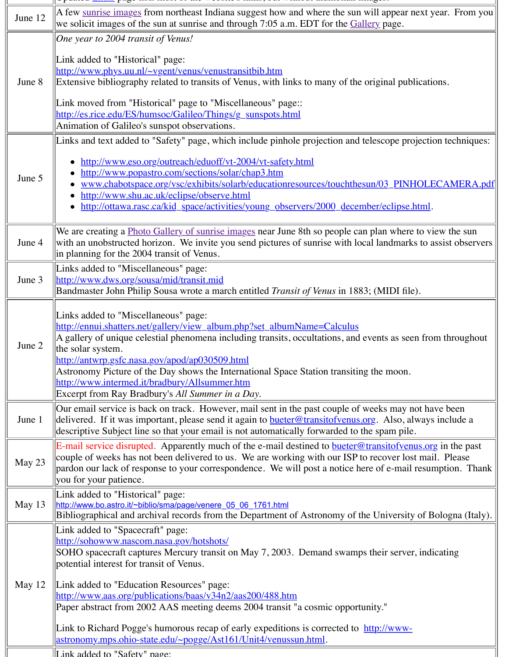| June 5   | http://www.popastro.com/sections/solar/chap3.htm<br>www.chabotspace.org/vsc/exhibits/solarb/educationresources/touchthesun/                                                                                                                                                                                                                                                                                                                                                                                                                                        |
|----------|--------------------------------------------------------------------------------------------------------------------------------------------------------------------------------------------------------------------------------------------------------------------------------------------------------------------------------------------------------------------------------------------------------------------------------------------------------------------------------------------------------------------------------------------------------------------|
|          | http://www.shu.ac.uk/eclipse/observe.html<br>http://ottawa.rasc.ca/kid_space/activities/young_observers/2000_december/                                                                                                                                                                                                                                                                                                                                                                                                                                             |
| June 4   | We are creating a Photo Gallery of sunrise images near June 8th so people can pla<br>with an unobstructed horizon. We invite you send pictures of sunrise with local la<br>in planning for the 2004 transit of Venus.                                                                                                                                                                                                                                                                                                                                              |
| June 3   | Links added to "Miscellaneous" page:<br>http://www.dws.org/sousa/mid/transit.mid<br>Bandmaster John Philip Sousa wrote a march entitled <i>Transit of Venus</i> in 1883; (N                                                                                                                                                                                                                                                                                                                                                                                        |
| June 2   | Links added to "Miscellaneous" page:<br>http://ennui.shatters.net/gallery/view_album.php?set_albumName=Calculus<br>A gallery of unique celestial phenomena including transits, occultations, and even<br>the solar system.<br>http://antwrp.gsfc.nasa.gov/apod/ap030509.html<br>Astronomy Picture of the Day shows the International Space Station transiting the<br>http://www.intermed.it/bradbury/Allsummer.htm<br>Excerpt from Ray Bradbury's All Summer in a Day.                                                                                             |
| June 1   | Our email service is back on track. However, mail sent in the past couple of week<br>delivered. If it was important, please send it again to <b>bueter</b> @transitofvenus.org.<br>descriptive Subject line so that your email is not automatically forwarded to the sp                                                                                                                                                                                                                                                                                            |
| May 23   | E-mail service disrupted. Apparently much of the e-mail destined to bueter@tran<br>couple of weeks has not been delivered to us. We are working with our ISP to red<br>pardon our lack of response to your correspondence. We will post a notice here o<br>you for your patience.                                                                                                                                                                                                                                                                                  |
| May $13$ | Link added to "Historical" page:<br>http://www.bo.astro.it/~biblio/sma/page/venere_05_06_1761.html<br>Bibliographical and archival records from the Department of Astronomy of the U                                                                                                                                                                                                                                                                                                                                                                               |
| May $12$ | Link added to "Spacecraft" page:<br>http://sohowww.nascom.nasa.gov/hotshots/<br>SOHO spacecraft captures Mercury transit on May 7, 2003. Demand swamps the<br>potential interest for transit of Venus.<br>Link added to "Education Resources" page:<br>http://www.aas.org/publications/baas/v34n2/aas200/488.htm<br>Paper abstract from 2002 AAS meeting deems 2004 transit "a cosmic opportunity<br>Link to Richard Pogge's humorous recap of early expeditions is corrected to http:<br><u> astronomy.mps.ohio-state.edu/~pogge/Ast161/Unit4/venussun.html</u> . |
|          | Link added to "Safety" page:                                                                                                                                                                                                                                                                                                                                                                                                                                                                                                                                       |

 $\parallel$ [Link added to "Safety" page:](http://www.bo.astro.it/~biblio/sma/page/venere_05_06_1761.html)